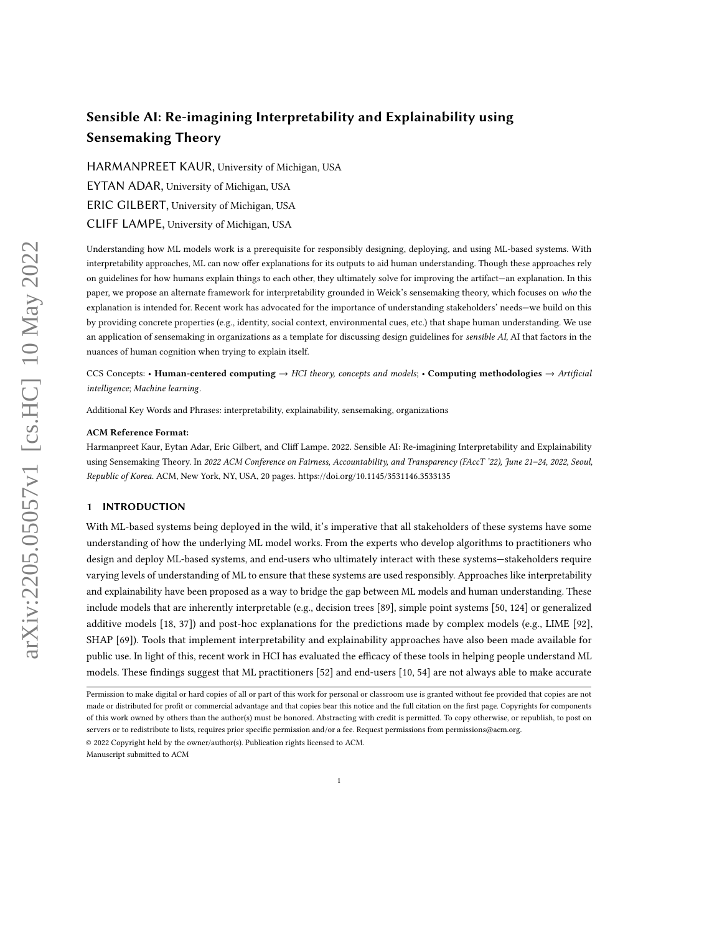# Sensible AI: Re-imagining Interpretability and Explainability using Sensemaking Theory

HARMANPREET KAUR, University of Michigan, USA EYTAN ADAR, University of Michigan, USA ERIC GILBERT, University of Michigan, USA CLIFF LAMPE, University of Michigan, USA

Understanding how ML models work is a prerequisite for responsibly designing, deploying, and using ML-based systems. With interpretability approaches, ML can now offer explanations for its outputs to aid human understanding. Though these approaches rely on guidelines for how humans explain things to each other, they ultimately solve for improving the artifact—an explanation. In this paper, we propose an alternate framework for interpretability grounded in Weick's sensemaking theory, which focuses on who the explanation is intended for. Recent work has advocated for the importance of understanding stakeholders' needs—we build on this by providing concrete properties (e.g., identity, social context, environmental cues, etc.) that shape human understanding. We use an application of sensemaking in organizations as a template for discussing design guidelines for sensible AI, AI that factors in the nuances of human cognition when trying to explain itself.

CCS Concepts: • Human-centered computing  $\rightarrow$  HCI theory, concepts and models; • Computing methodologies  $\rightarrow$  Artificial intelligence; Machine learning.

Additional Key Words and Phrases: interpretability, explainability, sensemaking, organizations

### ACM Reference Format:

Harmanpreet Kaur, Eytan Adar, Eric Gilbert, and Cliff Lampe. 2022. Sensible AI: Re-imagining Interpretability and Explainability using Sensemaking Theory. In 2022 ACM Conference on Fairness, Accountability, and Transparency (FAccT '22), June 21-24, 2022, Seoul, Republic of Korea. ACM, New York, NY, USA, [20](#page-19-0) pages.<https://doi.org/10.1145/3531146.3533135>

## 1 INTRODUCTION

With ML-based systems being deployed in the wild, it's imperative that all stakeholders of these systems have some understanding of how the underlying ML model works. From the experts who develop algorithms to practitioners who design and deploy ML-based systems, and end-users who ultimately interact with these systems—stakeholders require varying levels of understanding of ML to ensure that these systems are used responsibly. Approaches like interpretability and explainability have been proposed as a way to bridge the gap between ML models and human understanding. These include models that are inherently interpretable (e.g., decision trees [\[89\]](#page-18-0), simple point systems [\[50,](#page-16-0) [124\]](#page-19-1) or generalized additive models [\[18,](#page-15-0) [37\]](#page-16-1)) and post-hoc explanations for the predictions made by complex models (e.g., LIME [\[92\]](#page-18-1), SHAP [\[69\]](#page-17-0)). Tools that implement interpretability and explainability approaches have also been made available for public use. In light of this, recent work in HCI has evaluated the efficacy of these tools in helping people understand ML models. These findings suggest that ML practitioners [\[52\]](#page-16-2) and end-users [\[10,](#page-15-1) [54\]](#page-17-1) are not always able to make accurate

© 2022 Copyright held by the owner/author(s). Publication rights licensed to ACM.

Manuscript submitted to ACM

Permission to make digital or hard copies of all or part of this work for personal or classroom use is granted without fee provided that copies are not made or distributed for profit or commercial advantage and that copies bear this notice and the full citation on the first page. Copyrights for components of this work owned by others than the author(s) must be honored. Abstracting with credit is permitted. To copy otherwise, or republish, to post on servers or to redistribute to lists, requires prior specific permission and/or a fee. Request permissions from permissions@acm.org.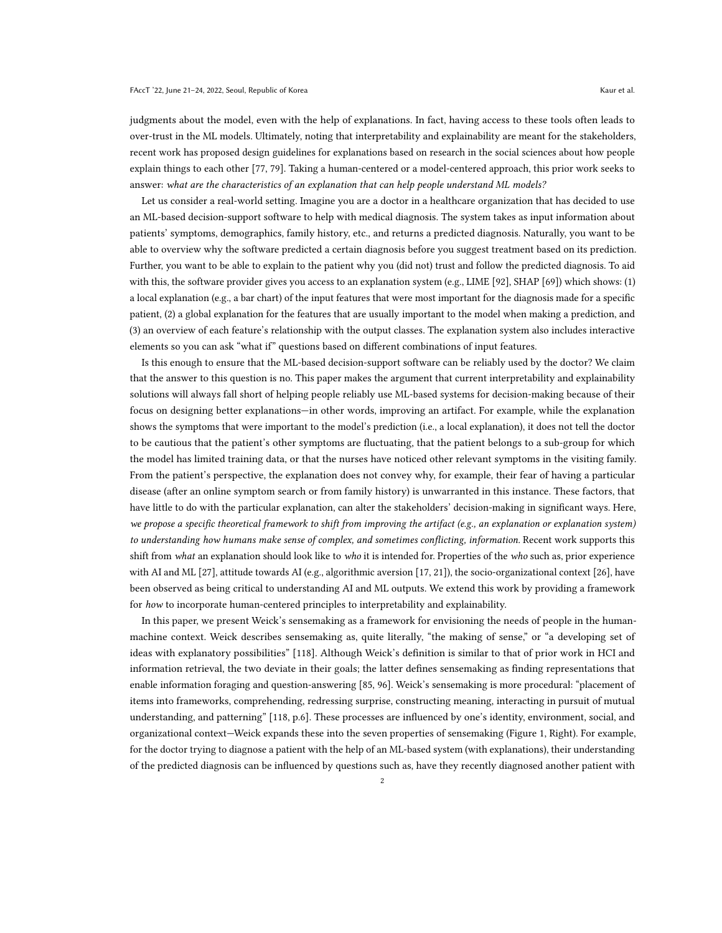judgments about the model, even with the help of explanations. In fact, having access to these tools often leads to over-trust in the ML models. Ultimately, noting that interpretability and explainability are meant for the stakeholders, recent work has proposed design guidelines for explanations based on research in the social sciences about how people explain things to each other [\[77,](#page-17-2) [79\]](#page-17-3). Taking a human-centered or a model-centered approach, this prior work seeks to answer: what are the characteristics of an explanation that can help people understand ML models?

Let us consider a real-world setting. Imagine you are a doctor in a healthcare organization that has decided to use an ML-based decision-support software to help with medical diagnosis. The system takes as input information about patients' symptoms, demographics, family history, etc., and returns a predicted diagnosis. Naturally, you want to be able to overview why the software predicted a certain diagnosis before you suggest treatment based on its prediction. Further, you want to be able to explain to the patient why you (did not) trust and follow the predicted diagnosis. To aid with this, the software provider gives you access to an explanation system (e.g., LIME [\[92\]](#page-18-1), SHAP [\[69\]](#page-17-0)) which shows: (1) a local explanation (e.g., a bar chart) of the input features that were most important for the diagnosis made for a specific patient, (2) a global explanation for the features that are usually important to the model when making a prediction, and (3) an overview of each feature's relationship with the output classes. The explanation system also includes interactive elements so you can ask "what if" questions based on different combinations of input features.

Is this enough to ensure that the ML-based decision-support software can be reliably used by the doctor? We claim that the answer to this question is no. This paper makes the argument that current interpretability and explainability solutions will always fall short of helping people reliably use ML-based systems for decision-making because of their focus on designing better explanations—in other words, improving an artifact. For example, while the explanation shows the symptoms that were important to the model's prediction (i.e., a local explanation), it does not tell the doctor to be cautious that the patient's other symptoms are fluctuating, that the patient belongs to a sub-group for which the model has limited training data, or that the nurses have noticed other relevant symptoms in the visiting family. From the patient's perspective, the explanation does not convey why, for example, their fear of having a particular disease (after an online symptom search or from family history) is unwarranted in this instance. These factors, that have little to do with the particular explanation, can alter the stakeholders' decision-making in significant ways. Here, we propose a specific theoretical framework to shift from improving the artifact (e.g., an explanation or explanation system) to understanding how humans make sense of complex, and sometimes conflicting, information. Recent work supports this shift from what an explanation should look like to who it is intended for. Properties of the who such as, prior experience with AI and ML [\[27\]](#page-16-3), attitude towards AI (e.g., algorithmic aversion [\[17,](#page-15-2) [21\]](#page-15-3)), the socio-organizational context [\[26\]](#page-16-4), have been observed as being critical to understanding AI and ML outputs. We extend this work by providing a framework for how to incorporate human-centered principles to interpretability and explainability.

In this paper, we present Weick's sensemaking as a framework for envisioning the needs of people in the humanmachine context. Weick describes sensemaking as, quite literally, "the making of sense," or "a developing set of ideas with explanatory possibilities" [\[118\]](#page-19-2). Although Weick's definition is similar to that of prior work in HCI and information retrieval, the two deviate in their goals; the latter defines sensemaking as finding representations that enable information foraging and question-answering [\[85,](#page-18-2) [96\]](#page-18-3). Weick's sensemaking is more procedural: "placement of items into frameworks, comprehending, redressing surprise, constructing meaning, interacting in pursuit of mutual understanding, and patterning" [\[118,](#page-19-2) p.6]. These processes are influenced by one's identity, environment, social, and organizational context—Weick expands these into the seven properties of sensemaking (Figure [1,](#page-2-0) Right). For example, for the doctor trying to diagnose a patient with the help of an ML-based system (with explanations), their understanding of the predicted diagnosis can be influenced by questions such as, have they recently diagnosed another patient with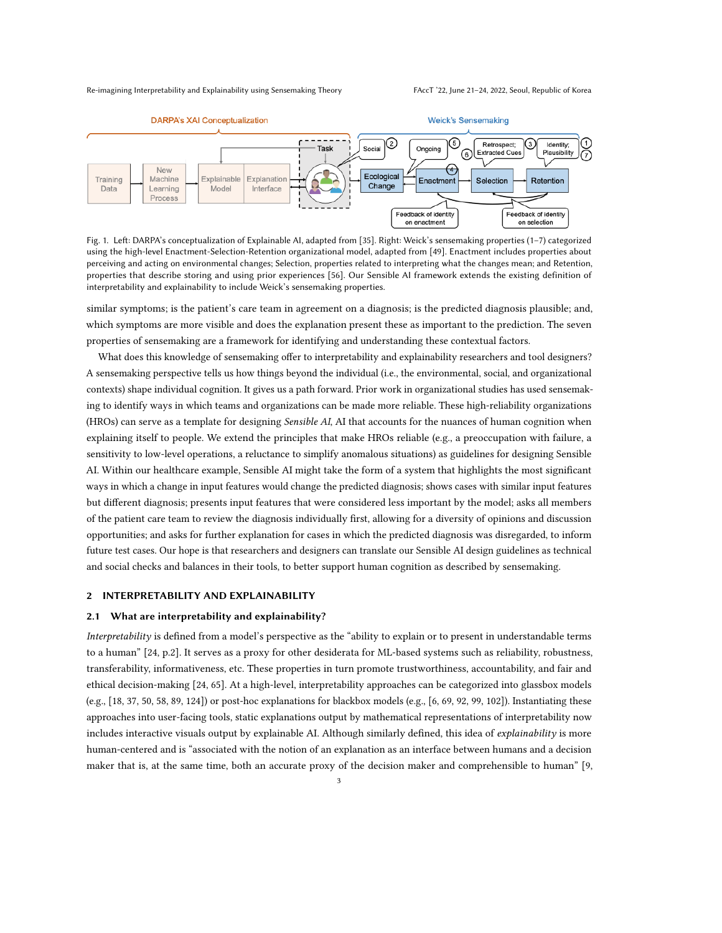<span id="page-2-0"></span>

Fig. 1. Left: DARPA's conceptualization of Explainable AI, adapted from [\[35\]](#page-16-5). Right: Weick's sensemaking properties (1–7) categorized using the high-level Enactment-Selection-Retention organizational model, adapted from [\[49\]](#page-16-6). Enactment includes properties about perceiving and acting on environmental changes; Selection, properties related to interpreting what the changes mean; and Retention, properties that describe storing and using prior experiences [\[56\]](#page-17-4). Our Sensible AI framework extends the existing definition of interpretability and explainability to include Weick's sensemaking properties.

similar symptoms; is the patient's care team in agreement on a diagnosis; is the predicted diagnosis plausible; and, which symptoms are more visible and does the explanation present these as important to the prediction. The seven properties of sensemaking are a framework for identifying and understanding these contextual factors.

What does this knowledge of sensemaking offer to interpretability and explainability researchers and tool designers? A sensemaking perspective tells us how things beyond the individual (i.e., the environmental, social, and organizational contexts) shape individual cognition. It gives us a path forward. Prior work in organizational studies has used sensemaking to identify ways in which teams and organizations can be made more reliable. These high-reliability organizations (HROs) can serve as a template for designing Sensible AI, AI that accounts for the nuances of human cognition when explaining itself to people. We extend the principles that make HROs reliable (e.g., a preoccupation with failure, a sensitivity to low-level operations, a reluctance to simplify anomalous situations) as guidelines for designing Sensible AI. Within our healthcare example, Sensible AI might take the form of a system that highlights the most significant ways in which a change in input features would change the predicted diagnosis; shows cases with similar input features but different diagnosis; presents input features that were considered less important by the model; asks all members of the patient care team to review the diagnosis individually first, allowing for a diversity of opinions and discussion opportunities; and asks for further explanation for cases in which the predicted diagnosis was disregarded, to inform future test cases. Our hope is that researchers and designers can translate our Sensible AI design guidelines as technical and social checks and balances in their tools, to better support human cognition as described by sensemaking.

#### 2 INTERPRETABILITY AND EXPLAINABILITY

#### 2.1 What are interpretability and explainability?

Interpretability is defined from a model's perspective as the "ability to explain or to present in understandable terms to a human" [\[24,](#page-16-7) p.2]. It serves as a proxy for other desiderata for ML-based systems such as reliability, robustness, transferability, informativeness, etc. These properties in turn promote trustworthiness, accountability, and fair and ethical decision-making [\[24,](#page-16-7) [65\]](#page-17-5). At a high-level, interpretability approaches can be categorized into glassbox models (e.g., [\[18,](#page-15-0) [37,](#page-16-1) [50,](#page-16-0) [58,](#page-17-6) [89,](#page-18-0) [124\]](#page-19-1)) or post-hoc explanations for blackbox models (e.g., [\[6,](#page-15-4) [69,](#page-17-0) [92,](#page-18-1) [99,](#page-18-4) [102\]](#page-18-5)). Instantiating these approaches into user-facing tools, static explanations output by mathematical representations of interpretability now includes interactive visuals output by explainable AI. Although similarly defined, this idea of explainability is more human-centered and is "associated with the notion of an explanation as an interface between humans and a decision maker that is, at the same time, both an accurate proxy of the decision maker and comprehensible to human" [\[9,](#page-15-5)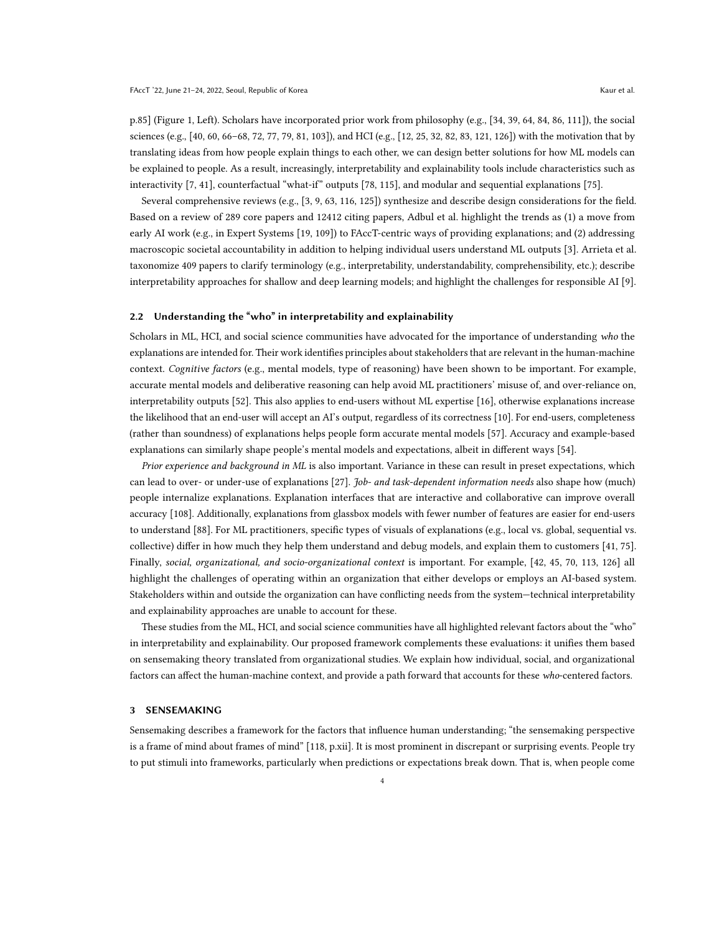p.85] (Figure [1,](#page-2-0) Left). Scholars have incorporated prior work from philosophy (e.g., [\[34,](#page-16-8) [39,](#page-16-9) [64,](#page-17-7) [84,](#page-18-6) [86,](#page-18-7) [111\]](#page-18-8)), the social sciences (e.g., [\[40,](#page-16-10) [60,](#page-17-8) [66–](#page-17-9)[68,](#page-17-10) [72,](#page-17-11) [77,](#page-17-2) [79,](#page-17-3) [81,](#page-17-12) [103\]](#page-18-9)), and HCI (e.g., [\[12,](#page-15-6) [25,](#page-16-11) [32,](#page-16-12) [82,](#page-18-10) [83,](#page-18-11) [121,](#page-19-3) [126\]](#page-19-4)) with the motivation that by translating ideas from how people explain things to each other, we can design better solutions for how ML models can be explained to people. As a result, increasingly, interpretability and explainability tools include characteristics such as interactivity [\[7,](#page-15-7) [41\]](#page-16-13), counterfactual "what-if" outputs [\[78,](#page-17-13) [115\]](#page-19-5), and modular and sequential explanations [\[75\]](#page-17-14).

Several comprehensive reviews (e.g., [\[3,](#page-15-8) [9,](#page-15-5) [63,](#page-17-15) [116,](#page-19-6) [125\]](#page-19-7)) synthesize and describe design considerations for the field. Based on a review of 289 core papers and 12412 citing papers, Adbul et al. highlight the trends as (1) a move from early AI work (e.g., in Expert Systems [\[19,](#page-15-9) [109\]](#page-18-12)) to FAccT-centric ways of providing explanations; and (2) addressing macroscopic societal accountability in addition to helping individual users understand ML outputs [\[3\]](#page-15-8). Arrieta et al. taxonomize 409 papers to clarify terminology (e.g., interpretability, understandability, comprehensibility, etc.); describe interpretability approaches for shallow and deep learning models; and highlight the challenges for responsible AI [\[9\]](#page-15-5).

#### 2.2 Understanding the "who" in interpretability and explainability

Scholars in ML, HCI, and social science communities have advocated for the importance of understanding who the explanations are intended for. Their work identifies principles about stakeholders that are relevant in the human-machine context. Cognitive factors (e.g., mental models, type of reasoning) have been shown to be important. For example, accurate mental models and deliberative reasoning can help avoid ML practitioners' misuse of, and over-reliance on, interpretability outputs [\[52\]](#page-16-2). This also applies to end-users without ML expertise [\[16\]](#page-15-10), otherwise explanations increase the likelihood that an end-user will accept an AI's output, regardless of its correctness [\[10\]](#page-15-1). For end-users, completeness (rather than soundness) of explanations helps people form accurate mental models [\[57\]](#page-17-16). Accuracy and example-based explanations can similarly shape people's mental models and expectations, albeit in different ways [\[54\]](#page-17-1).

Prior experience and background in ML is also important. Variance in these can result in preset expectations, which can lead to over- or under-use of explanations [\[27\]](#page-16-3). *Job- and task-dependent information needs* also shape how (much) people internalize explanations. Explanation interfaces that are interactive and collaborative can improve overall accuracy [\[108\]](#page-18-13). Additionally, explanations from glassbox models with fewer number of features are easier for end-users to understand [\[88\]](#page-18-14). For ML practitioners, specific types of visuals of explanations (e.g., local vs. global, sequential vs. collective) differ in how much they help them understand and debug models, and explain them to customers [\[41,](#page-16-13) [75\]](#page-17-14). Finally, social, organizational, and socio-organizational context is important. For example, [\[42,](#page-16-14) [45,](#page-16-15) [70,](#page-17-17) [113,](#page-18-15) [126\]](#page-19-4) all highlight the challenges of operating within an organization that either develops or employs an AI-based system. Stakeholders within and outside the organization can have conflicting needs from the system—technical interpretability and explainability approaches are unable to account for these.

These studies from the ML, HCI, and social science communities have all highlighted relevant factors about the "who" in interpretability and explainability. Our proposed framework complements these evaluations: it unifies them based on sensemaking theory translated from organizational studies. We explain how individual, social, and organizational factors can affect the human-machine context, and provide a path forward that accounts for these who-centered factors.

#### 3 SENSEMAKING

Sensemaking describes a framework for the factors that influence human understanding; "the sensemaking perspective is a frame of mind about frames of mind" [\[118,](#page-19-2) p.xii]. It is most prominent in discrepant or surprising events. People try to put stimuli into frameworks, particularly when predictions or expectations break down. That is, when people come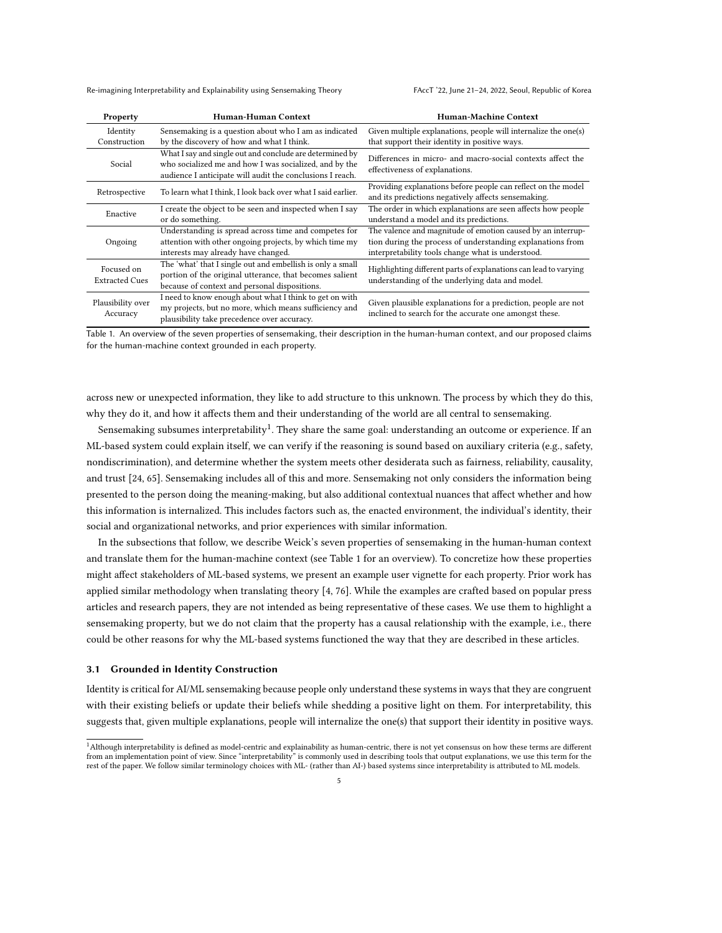<span id="page-4-1"></span>

| Property                            | Human-Human Context                                                                                                                                                             | <b>Human-Machine Context</b>                                                                                                                                                   |  |  |
|-------------------------------------|---------------------------------------------------------------------------------------------------------------------------------------------------------------------------------|--------------------------------------------------------------------------------------------------------------------------------------------------------------------------------|--|--|
| Identity<br>Construction            | Sensemaking is a question about who I am as indicated<br>by the discovery of how and what I think.                                                                              | Given multiple explanations, people will internalize the one(s)<br>that support their identity in positive ways.                                                               |  |  |
| Social                              | What I say and single out and conclude are determined by<br>who socialized me and how I was socialized, and by the<br>audience I anticipate will audit the conclusions I reach. | Differences in micro- and macro-social contexts affect the<br>effectiveness of explanations.                                                                                   |  |  |
| Retrospective                       | To learn what I think, I look back over what I said earlier.                                                                                                                    | Providing explanations before people can reflect on the model<br>and its predictions negatively affects sensemaking.                                                           |  |  |
| Enactive                            | I create the object to be seen and inspected when I say<br>or do something.                                                                                                     | The order in which explanations are seen affects how people<br>understand a model and its predictions.                                                                         |  |  |
| Ongoing                             | Understanding is spread across time and competes for<br>attention with other ongoing projects, by which time my<br>interests may already have changed.                          | The valence and magnitude of emotion caused by an interrup-<br>tion during the process of understanding explanations from<br>interpretability tools change what is understood. |  |  |
| Focused on<br><b>Extracted Cues</b> | The 'what' that I single out and embellish is only a small<br>portion of the original utterance, that becomes salient<br>because of context and personal dispositions.          | Highlighting different parts of explanations can lead to varying<br>understanding of the underlying data and model.                                                            |  |  |
| Plausibility over<br>Accuracy       | I need to know enough about what I think to get on with<br>my projects, but no more, which means sufficiency and<br>plausibility take precedence over accuracy.                 | Given plausible explanations for a prediction, people are not<br>inclined to search for the accurate one amongst these.                                                        |  |  |

Table 1. An overview of the seven properties of sensemaking, their description in the human-human context, and our proposed claims for the human-machine context grounded in each property.

across new or unexpected information, they like to add structure to this unknown. The process by which they do this, why they do it, and how it affects them and their understanding of the world are all central to sensemaking.

Sensemaking subsumes interpretability $^1$  $^1$ . They share the same goal: understanding an outcome or experience. If an ML-based system could explain itself, we can verify if the reasoning is sound based on auxiliary criteria (e.g., safety, nondiscrimination), and determine whether the system meets other desiderata such as fairness, reliability, causality, and trust [\[24,](#page-16-7) [65\]](#page-17-5). Sensemaking includes all of this and more. Sensemaking not only considers the information being presented to the person doing the meaning-making, but also additional contextual nuances that affect whether and how this information is internalized. This includes factors such as, the enacted environment, the individual's identity, their social and organizational networks, and prior experiences with similar information.

In the subsections that follow, we describe Weick's seven properties of sensemaking in the human-human context and translate them for the human-machine context (see Table [1](#page-4-1) for an overview). To concretize how these properties might affect stakeholders of ML-based systems, we present an example user vignette for each property. Prior work has applied similar methodology when translating theory [\[4,](#page-15-11) [76\]](#page-17-18). While the examples are crafted based on popular press articles and research papers, they are not intended as being representative of these cases. We use them to highlight a sensemaking property, but we do not claim that the property has a causal relationship with the example, i.e., there could be other reasons for why the ML-based systems functioned the way that they are described in these articles.

#### <span id="page-4-2"></span>3.1 Grounded in Identity Construction

Identity is critical for AI/ML sensemaking because people only understand these systems in ways that they are congruent with their existing beliefs or update their beliefs while shedding a positive light on them. For interpretability, this suggests that, given multiple explanations, people will internalize the one(s) that support their identity in positive ways.

<span id="page-4-0"></span><sup>1</sup>Although interpretability is defined as model-centric and explainability as human-centric, there is not yet consensus on how these terms are different from an implementation point of view. Since "interpretability" is commonly used in describing tools that output explanations, we use this term for the rest of the paper. We follow similar terminology choices with ML- (rather than AI-) based systems since interpretability is attributed to ML models.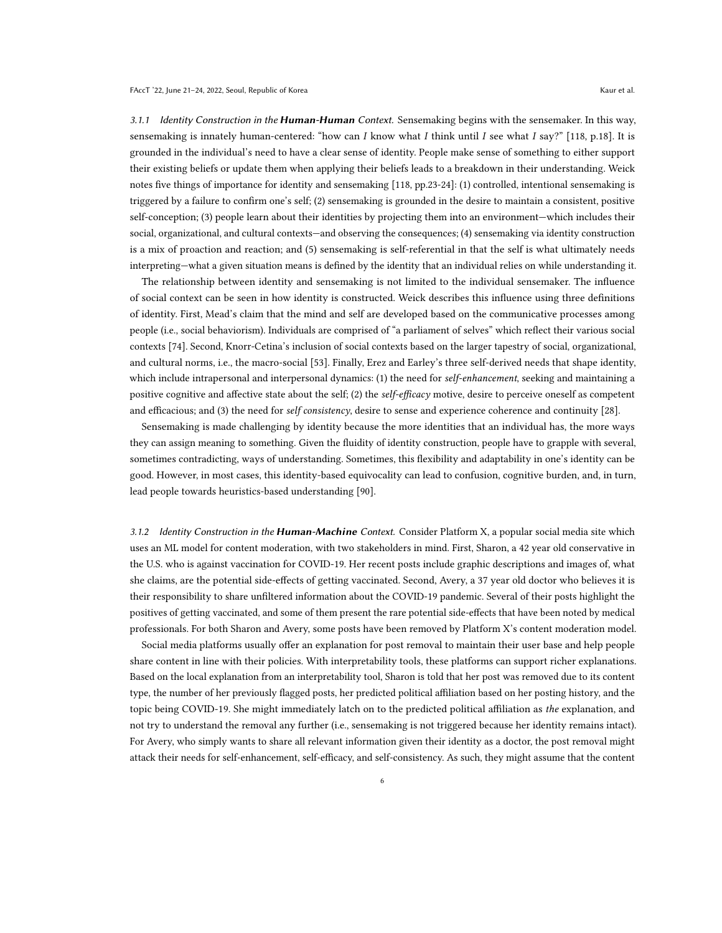3.1.1 Identity Construction in the **Human-Human** Context. Sensemaking begins with the sensemaker. In this way, sensemaking is innately human-centered: "how can I know what I think until I see what I say?" [\[118,](#page-19-2) p.18]. It is grounded in the individual's need to have a clear sense of identity. People make sense of something to either support their existing beliefs or update them when applying their beliefs leads to a breakdown in their understanding. Weick notes five things of importance for identity and sensemaking [\[118,](#page-19-2) pp.23-24]: (1) controlled, intentional sensemaking is triggered by a failure to confirm one's self; (2) sensemaking is grounded in the desire to maintain a consistent, positive self-conception; (3) people learn about their identities by projecting them into an environment—which includes their social, organizational, and cultural contexts—and observing the consequences; (4) sensemaking via identity construction is a mix of proaction and reaction; and (5) sensemaking is self-referential in that the self is what ultimately needs interpreting—what a given situation means is defined by the identity that an individual relies on while understanding it.

The relationship between identity and sensemaking is not limited to the individual sensemaker. The influence of social context can be seen in how identity is constructed. Weick describes this influence using three definitions of identity. First, Mead's claim that the mind and self are developed based on the communicative processes among people (i.e., social behaviorism). Individuals are comprised of "a parliament of selves" which reflect their various social contexts [\[74\]](#page-17-19). Second, Knorr-Cetina's inclusion of social contexts based on the larger tapestry of social, organizational, and cultural norms, i.e., the macro-social [\[53\]](#page-17-20). Finally, Erez and Earley's three self-derived needs that shape identity, which include intrapersonal and interpersonal dynamics: (1) the need for self-enhancement, seeking and maintaining a positive cognitive and affective state about the self; (2) the self-efficacy motive, desire to perceive oneself as competent and efficacious; and (3) the need for self consistency, desire to sense and experience coherence and continuity [\[28\]](#page-16-16).

Sensemaking is made challenging by identity because the more identities that an individual has, the more ways they can assign meaning to something. Given the fluidity of identity construction, people have to grapple with several, sometimes contradicting, ways of understanding. Sometimes, this flexibility and adaptability in one's identity can be good. However, in most cases, this identity-based equivocality can lead to confusion, cognitive burden, and, in turn, lead people towards heuristics-based understanding [\[90\]](#page-18-16).

3.1.2 Identity Construction in the Human-Machine Context. Consider Platform X, a popular social media site which uses an ML model for content moderation, with two stakeholders in mind. First, Sharon, a 42 year old conservative in the U.S. who is against vaccination for COVID-19. Her recent posts include graphic descriptions and images of, what she claims, are the potential side-effects of getting vaccinated. Second, Avery, a 37 year old doctor who believes it is their responsibility to share unfiltered information about the COVID-19 pandemic. Several of their posts highlight the positives of getting vaccinated, and some of them present the rare potential side-effects that have been noted by medical professionals. For both Sharon and Avery, some posts have been removed by Platform X's content moderation model.

Social media platforms usually offer an explanation for post removal to maintain their user base and help people share content in line with their policies. With interpretability tools, these platforms can support richer explanations. Based on the local explanation from an interpretability tool, Sharon is told that her post was removed due to its content type, the number of her previously flagged posts, her predicted political affiliation based on her posting history, and the topic being COVID-19. She might immediately latch on to the predicted political affiliation as the explanation, and not try to understand the removal any further (i.e., sensemaking is not triggered because her identity remains intact). For Avery, who simply wants to share all relevant information given their identity as a doctor, the post removal might attack their needs for self-enhancement, self-efficacy, and self-consistency. As such, they might assume that the content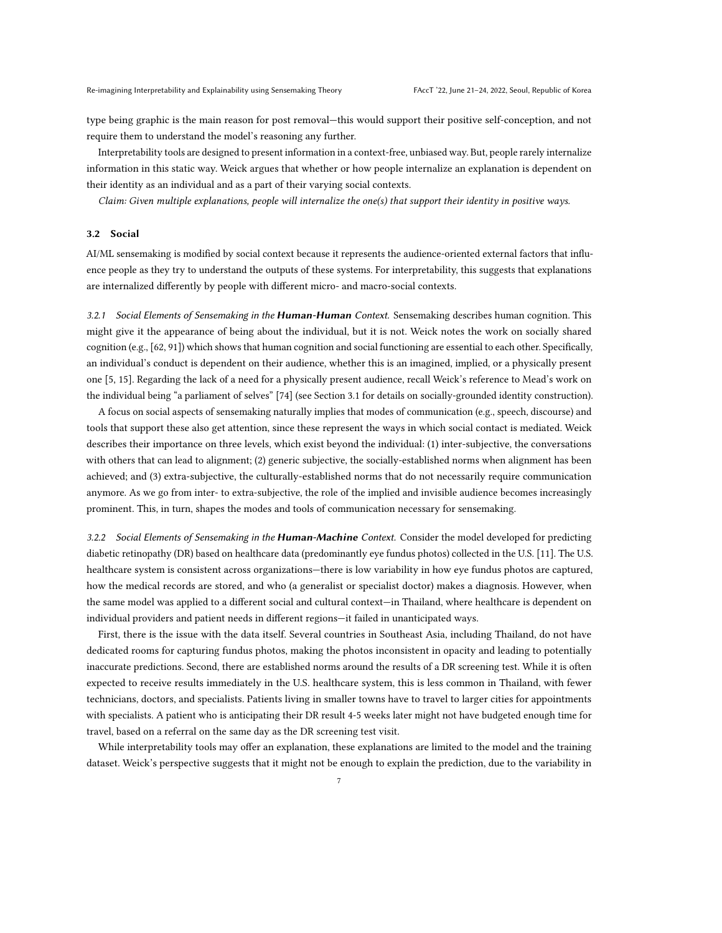type being graphic is the main reason for post removal—this would support their positive self-conception, and not require them to understand the model's reasoning any further.

Interpretability tools are designed to present information in a context-free, unbiased way. But, people rarely internalize information in this static way. Weick argues that whether or how people internalize an explanation is dependent on their identity as an individual and as a part of their varying social contexts.

Claim: Given multiple explanations, people will internalize the one(s) that support their identity in positive ways.

#### 3.2 Social

AI/ML sensemaking is modified by social context because it represents the audience-oriented external factors that influence people as they try to understand the outputs of these systems. For interpretability, this suggests that explanations are internalized differently by people with different micro- and macro-social contexts.

3.2.1 Social Elements of Sensemaking in the **Human-Human** Context. Sensemaking describes human cognition. This might give it the appearance of being about the individual, but it is not. Weick notes the work on socially shared cognition (e.g., [\[62,](#page-17-21) [91\]](#page-18-17)) which shows that human cognition and social functioning are essential to each other. Specifically, an individual's conduct is dependent on their audience, whether this is an imagined, implied, or a physically present one [\[5,](#page-15-12) [15\]](#page-15-13). Regarding the lack of a need for a physically present audience, recall Weick's reference to Mead's work on the individual being "a parliament of selves" [\[74\]](#page-17-19) (see Section [3.1](#page-4-2) for details on socially-grounded identity construction).

A focus on social aspects of sensemaking naturally implies that modes of communication (e.g., speech, discourse) and tools that support these also get attention, since these represent the ways in which social contact is mediated. Weick describes their importance on three levels, which exist beyond the individual: (1) inter-subjective, the conversations with others that can lead to alignment; (2) generic subjective, the socially-established norms when alignment has been achieved; and (3) extra-subjective, the culturally-established norms that do not necessarily require communication anymore. As we go from inter- to extra-subjective, the role of the implied and invisible audience becomes increasingly prominent. This, in turn, shapes the modes and tools of communication necessary for sensemaking.

3.2.2 Social Elements of Sensemaking in the Human-Machine Context. Consider the model developed for predicting diabetic retinopathy (DR) based on healthcare data (predominantly eye fundus photos) collected in the U.S. [\[11\]](#page-15-14). The U.S. healthcare system is consistent across organizations—there is low variability in how eye fundus photos are captured, how the medical records are stored, and who (a generalist or specialist doctor) makes a diagnosis. However, when the same model was applied to a different social and cultural context—in Thailand, where healthcare is dependent on individual providers and patient needs in different regions—it failed in unanticipated ways.

First, there is the issue with the data itself. Several countries in Southeast Asia, including Thailand, do not have dedicated rooms for capturing fundus photos, making the photos inconsistent in opacity and leading to potentially inaccurate predictions. Second, there are established norms around the results of a DR screening test. While it is often expected to receive results immediately in the U.S. healthcare system, this is less common in Thailand, with fewer technicians, doctors, and specialists. Patients living in smaller towns have to travel to larger cities for appointments with specialists. A patient who is anticipating their DR result 4-5 weeks later might not have budgeted enough time for travel, based on a referral on the same day as the DR screening test visit.

While interpretability tools may offer an explanation, these explanations are limited to the model and the training dataset. Weick's perspective suggests that it might not be enough to explain the prediction, due to the variability in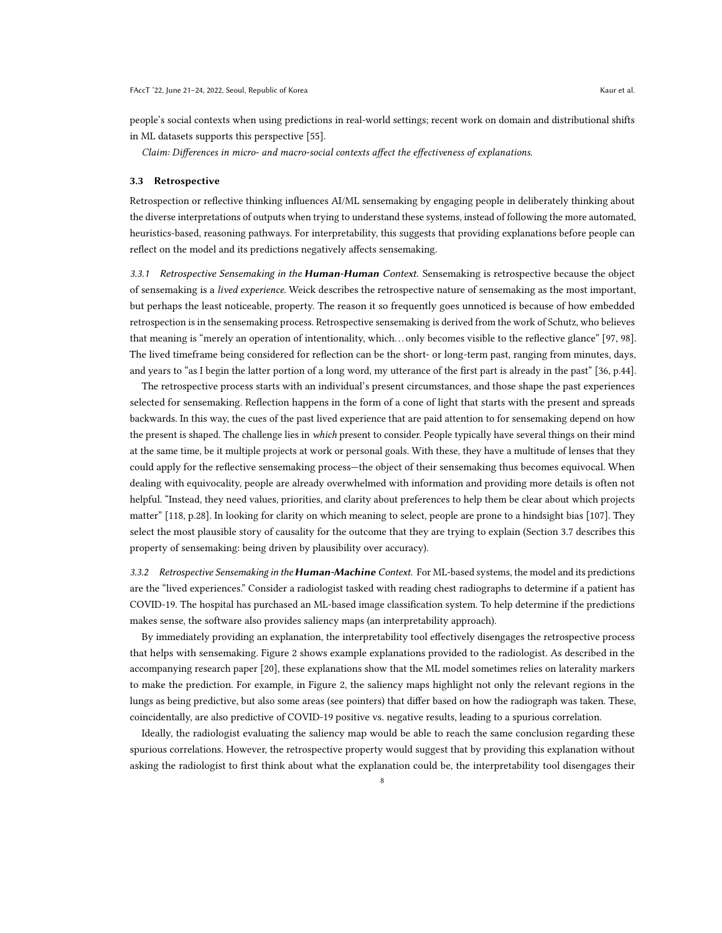in ML datasets supports this perspective [\[55\]](#page-17-22).

people's social contexts when using predictions in real-world settings; recent work on domain and distributional shifts

Claim: Differences in micro- and macro-social contexts affect the effectiveness of explanations.

#### <span id="page-7-0"></span>3.3 Retrospective

Retrospection or reflective thinking influences AI/ML sensemaking by engaging people in deliberately thinking about the diverse interpretations of outputs when trying to understand these systems, instead of following the more automated, heuristics-based, reasoning pathways. For interpretability, this suggests that providing explanations before people can reflect on the model and its predictions negatively affects sensemaking.

3.3.1 Retrospective Sensemaking in the Human-Human Context. Sensemaking is retrospective because the object of sensemaking is a lived experience. Weick describes the retrospective nature of sensemaking as the most important, but perhaps the least noticeable, property. The reason it so frequently goes unnoticed is because of how embedded retrospection is in the sensemaking process. Retrospective sensemaking is derived from the work of Schutz, who believes that meaning is "merely an operation of intentionality, which. . . only becomes visible to the reflective glance" [\[97,](#page-18-18) [98\]](#page-18-19). The lived timeframe being considered for reflection can be the short- or long-term past, ranging from minutes, days, and years to "as I begin the latter portion of a long word, my utterance of the first part is already in the past" [\[36,](#page-16-17) p.44].

The retrospective process starts with an individual's present circumstances, and those shape the past experiences selected for sensemaking. Reflection happens in the form of a cone of light that starts with the present and spreads backwards. In this way, the cues of the past lived experience that are paid attention to for sensemaking depend on how the present is shaped. The challenge lies in which present to consider. People typically have several things on their mind at the same time, be it multiple projects at work or personal goals. With these, they have a multitude of lenses that they could apply for the reflective sensemaking process—the object of their sensemaking thus becomes equivocal. When dealing with equivocality, people are already overwhelmed with information and providing more details is often not helpful. "Instead, they need values, priorities, and clarity about preferences to help them be clear about which projects matter" [\[118,](#page-19-2) p.28]. In looking for clarity on which meaning to select, people are prone to a hindsight bias [\[107\]](#page-18-20). They select the most plausible story of causality for the outcome that they are trying to explain (Section [3.7](#page-11-0) describes this property of sensemaking: being driven by plausibility over accuracy).

3.3.2 Retrospective Sensemaking in the **Human-Machine** Context. For ML-based systems, the model and its predictions are the "lived experiences." Consider a radiologist tasked with reading chest radiographs to determine if a patient has COVID-19. The hospital has purchased an ML-based image classification system. To help determine if the predictions makes sense, the software also provides saliency maps (an interpretability approach).

By immediately providing an explanation, the interpretability tool effectively disengages the retrospective process that helps with sensemaking. Figure [2](#page-8-0) shows example explanations provided to the radiologist. As described in the accompanying research paper [\[20\]](#page-15-15), these explanations show that the ML model sometimes relies on laterality markers to make the prediction. For example, in Figure [2,](#page-8-0) the saliency maps highlight not only the relevant regions in the lungs as being predictive, but also some areas (see pointers) that differ based on how the radiograph was taken. These, coincidentally, are also predictive of COVID-19 positive vs. negative results, leading to a spurious correlation.

Ideally, the radiologist evaluating the saliency map would be able to reach the same conclusion regarding these spurious correlations. However, the retrospective property would suggest that by providing this explanation without asking the radiologist to first think about what the explanation could be, the interpretability tool disengages their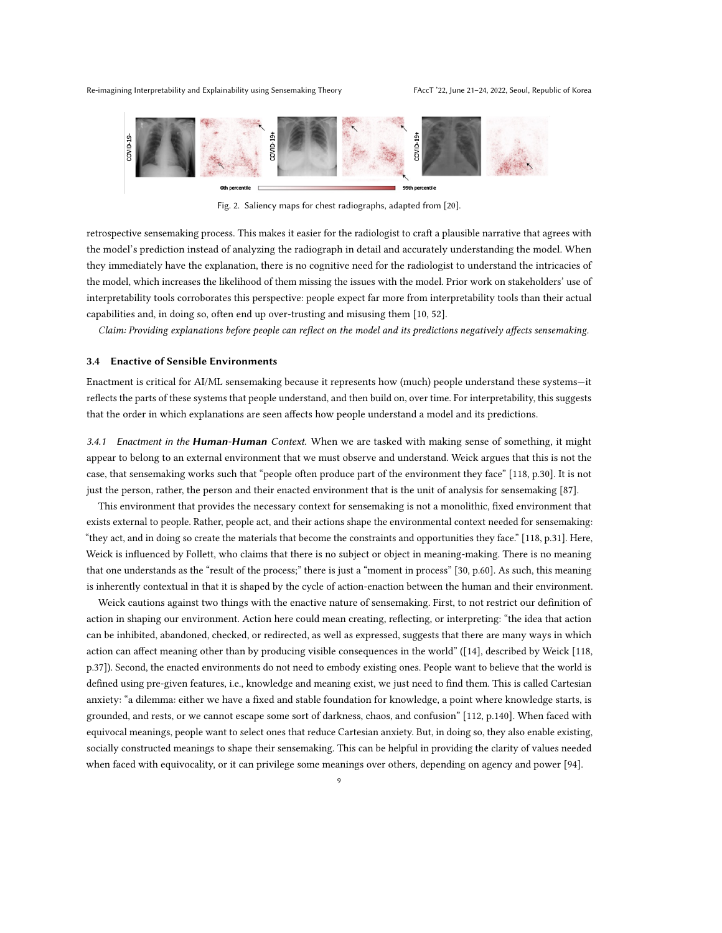<span id="page-8-0"></span>

Fig. 2. Saliency maps for chest radiographs, adapted from [\[20\]](#page-15-15).

retrospective sensemaking process. This makes it easier for the radiologist to craft a plausible narrative that agrees with the model's prediction instead of analyzing the radiograph in detail and accurately understanding the model. When they immediately have the explanation, there is no cognitive need for the radiologist to understand the intricacies of the model, which increases the likelihood of them missing the issues with the model. Prior work on stakeholders' use of interpretability tools corroborates this perspective: people expect far more from interpretability tools than their actual capabilities and, in doing so, often end up over-trusting and misusing them [\[10,](#page-15-1) [52\]](#page-16-2).

Claim: Providing explanations before people can reflect on the model and its predictions negatively affects sensemaking.

## 3.4 Enactive of Sensible Environments

Enactment is critical for AI/ML sensemaking because it represents how (much) people understand these systems—it reflects the parts of these systems that people understand, and then build on, over time. For interpretability, this suggests that the order in which explanations are seen affects how people understand a model and its predictions.

3.4.1 Enactment in the **Human-Human** Context. When we are tasked with making sense of something, it might appear to belong to an external environment that we must observe and understand. Weick argues that this is not the case, that sensemaking works such that "people often produce part of the environment they face" [\[118,](#page-19-2) p.30]. It is not just the person, rather, the person and their enacted environment that is the unit of analysis for sensemaking [\[87\]](#page-18-21).

This environment that provides the necessary context for sensemaking is not a monolithic, fixed environment that exists external to people. Rather, people act, and their actions shape the environmental context needed for sensemaking: "they act, and in doing so create the materials that become the constraints and opportunities they face." [\[118,](#page-19-2) p.31]. Here, Weick is influenced by Follett, who claims that there is no subject or object in meaning-making. There is no meaning that one understands as the "result of the process;" there is just a "moment in process" [\[30,](#page-16-18) p.60]. As such, this meaning is inherently contextual in that it is shaped by the cycle of action-enaction between the human and their environment.

Weick cautions against two things with the enactive nature of sensemaking. First, to not restrict our definition of action in shaping our environment. Action here could mean creating, reflecting, or interpreting: "the idea that action can be inhibited, abandoned, checked, or redirected, as well as expressed, suggests that there are many ways in which action can affect meaning other than by producing visible consequences in the world" ([\[14\]](#page-15-16), described by Weick [\[118,](#page-19-2) p.37]). Second, the enacted environments do not need to embody existing ones. People want to believe that the world is defined using pre-given features, i.e., knowledge and meaning exist, we just need to find them. This is called Cartesian anxiety: "a dilemma: either we have a fixed and stable foundation for knowledge, a point where knowledge starts, is grounded, and rests, or we cannot escape some sort of darkness, chaos, and confusion" [\[112,](#page-18-22) p.140]. When faced with equivocal meanings, people want to select ones that reduce Cartesian anxiety. But, in doing so, they also enable existing, socially constructed meanings to shape their sensemaking. This can be helpful in providing the clarity of values needed when faced with equivocality, or it can privilege some meanings over others, depending on agency and power [\[94\]](#page-18-23).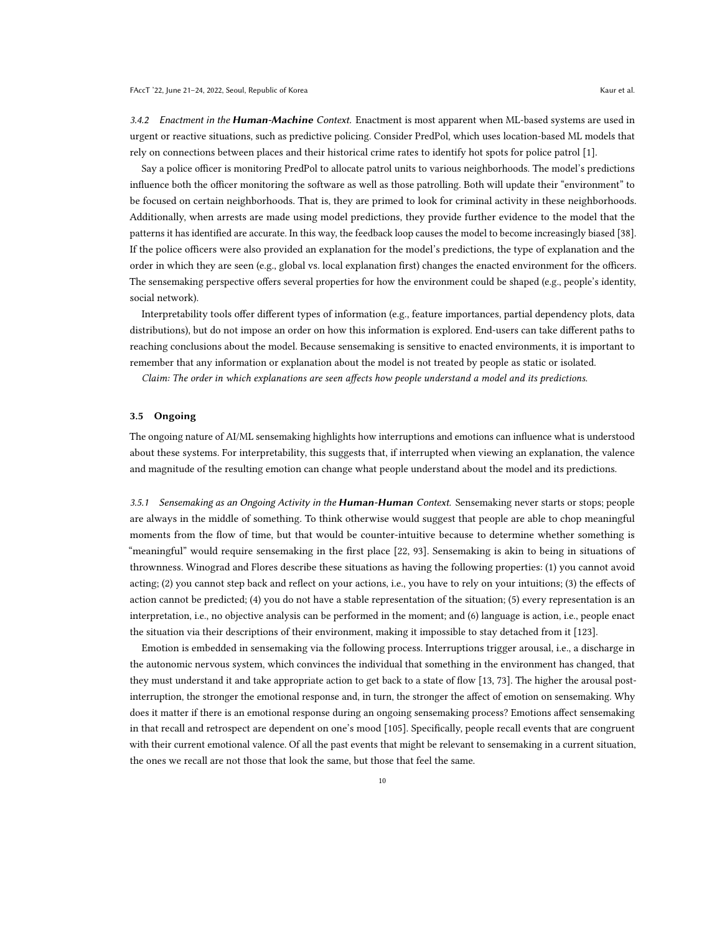3.4.2 Enactment in the Human-Machine Context. Enactment is most apparent when ML-based systems are used in urgent or reactive situations, such as predictive policing. Consider PredPol, which uses location-based ML models that rely on connections between places and their historical crime rates to identify hot spots for police patrol [\[1\]](#page-15-17).

Say a police officer is monitoring PredPol to allocate patrol units to various neighborhoods. The model's predictions influence both the officer monitoring the software as well as those patrolling. Both will update their "environment" to be focused on certain neighborhoods. That is, they are primed to look for criminal activity in these neighborhoods. Additionally, when arrests are made using model predictions, they provide further evidence to the model that the patterns it has identified are accurate. In this way, the feedback loop causes the model to become increasingly biased [\[38\]](#page-16-19). If the police officers were also provided an explanation for the model's predictions, the type of explanation and the order in which they are seen (e.g., global vs. local explanation first) changes the enacted environment for the officers. The sensemaking perspective offers several properties for how the environment could be shaped (e.g., people's identity, social network).

Interpretability tools offer different types of information (e.g., feature importances, partial dependency plots, data distributions), but do not impose an order on how this information is explored. End-users can take different paths to reaching conclusions about the model. Because sensemaking is sensitive to enacted environments, it is important to remember that any information or explanation about the model is not treated by people as static or isolated.

Claim: The order in which explanations are seen affects how people understand a model and its predictions.

### 3.5 Ongoing

The ongoing nature of AI/ML sensemaking highlights how interruptions and emotions can influence what is understood about these systems. For interpretability, this suggests that, if interrupted when viewing an explanation, the valence and magnitude of the resulting emotion can change what people understand about the model and its predictions.

3.5.1 Sensemaking as an Ongoing Activity in the **Human-Human** Context. Sensemaking never starts or stops; people are always in the middle of something. To think otherwise would suggest that people are able to chop meaningful moments from the flow of time, but that would be counter-intuitive because to determine whether something is "meaningful" would require sensemaking in the first place [\[22,](#page-15-18) [93\]](#page-18-24). Sensemaking is akin to being in situations of thrownness. Winograd and Flores describe these situations as having the following properties: (1) you cannot avoid acting; (2) you cannot step back and reflect on your actions, i.e., you have to rely on your intuitions; (3) the effects of action cannot be predicted; (4) you do not have a stable representation of the situation; (5) every representation is an interpretation, i.e., no objective analysis can be performed in the moment; and (6) language is action, i.e., people enact the situation via their descriptions of their environment, making it impossible to stay detached from it [\[123\]](#page-19-8).

Emotion is embedded in sensemaking via the following process. Interruptions trigger arousal, i.e., a discharge in the autonomic nervous system, which convinces the individual that something in the environment has changed, that they must understand it and take appropriate action to get back to a state of flow [\[13,](#page-15-19) [73\]](#page-17-23). The higher the arousal postinterruption, the stronger the emotional response and, in turn, the stronger the affect of emotion on sensemaking. Why does it matter if there is an emotional response during an ongoing sensemaking process? Emotions affect sensemaking in that recall and retrospect are dependent on one's mood [\[105\]](#page-18-25). Specifically, people recall events that are congruent with their current emotional valence. Of all the past events that might be relevant to sensemaking in a current situation, the ones we recall are not those that look the same, but those that feel the same.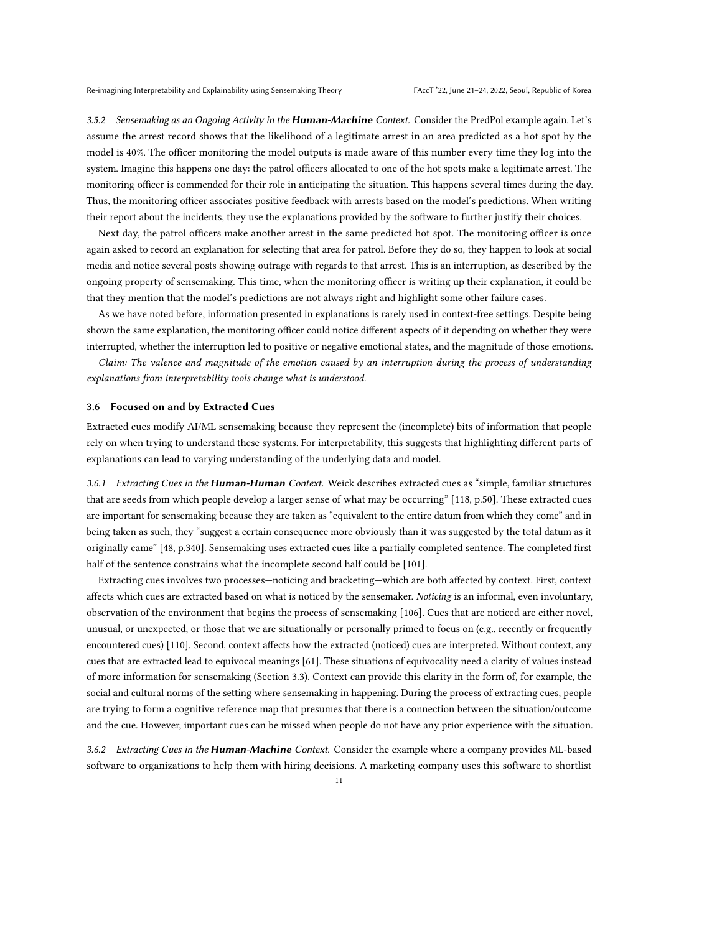3.5.2 Sensemaking as an Ongoing Activity in the **Human-Machine** Context. Consider the PredPol example again. Let's assume the arrest record shows that the likelihood of a legitimate arrest in an area predicted as a hot spot by the model is 40%. The officer monitoring the model outputs is made aware of this number every time they log into the system. Imagine this happens one day: the patrol officers allocated to one of the hot spots make a legitimate arrest. The monitoring officer is commended for their role in anticipating the situation. This happens several times during the day. Thus, the monitoring officer associates positive feedback with arrests based on the model's predictions. When writing their report about the incidents, they use the explanations provided by the software to further justify their choices.

Next day, the patrol officers make another arrest in the same predicted hot spot. The monitoring officer is once again asked to record an explanation for selecting that area for patrol. Before they do so, they happen to look at social media and notice several posts showing outrage with regards to that arrest. This is an interruption, as described by the ongoing property of sensemaking. This time, when the monitoring officer is writing up their explanation, it could be that they mention that the model's predictions are not always right and highlight some other failure cases.

As we have noted before, information presented in explanations is rarely used in context-free settings. Despite being shown the same explanation, the monitoring officer could notice different aspects of it depending on whether they were interrupted, whether the interruption led to positive or negative emotional states, and the magnitude of those emotions.

Claim: The valence and magnitude of the emotion caused by an interruption during the process of understanding explanations from interpretability tools change what is understood.

#### 3.6 Focused on and by Extracted Cues

Extracted cues modify AI/ML sensemaking because they represent the (incomplete) bits of information that people rely on when trying to understand these systems. For interpretability, this suggests that highlighting different parts of explanations can lead to varying understanding of the underlying data and model.

3.6.1 Extracting Cues in the Human-Human Context. Weick describes extracted cues as "simple, familiar structures that are seeds from which people develop a larger sense of what may be occurring" [\[118,](#page-19-2) p.50]. These extracted cues are important for sensemaking because they are taken as "equivalent to the entire datum from which they come" and in being taken as such, they "suggest a certain consequence more obviously than it was suggested by the total datum as it originally came" [\[48,](#page-16-20) p.340]. Sensemaking uses extracted cues like a partially completed sentence. The completed first half of the sentence constrains what the incomplete second half could be [\[101\]](#page-18-26).

Extracting cues involves two processes—noticing and bracketing—which are both affected by context. First, context affects which cues are extracted based on what is noticed by the sensemaker. Noticing is an informal, even involuntary, observation of the environment that begins the process of sensemaking [\[106\]](#page-18-27). Cues that are noticed are either novel, unusual, or unexpected, or those that we are situationally or personally primed to focus on (e.g., recently or frequently encountered cues) [\[110\]](#page-18-28). Second, context affects how the extracted (noticed) cues are interpreted. Without context, any cues that are extracted lead to equivocal meanings [\[61\]](#page-17-24). These situations of equivocality need a clarity of values instead of more information for sensemaking (Section [3.3\)](#page-7-0). Context can provide this clarity in the form of, for example, the social and cultural norms of the setting where sensemaking in happening. During the process of extracting cues, people are trying to form a cognitive reference map that presumes that there is a connection between the situation/outcome and the cue. However, important cues can be missed when people do not have any prior experience with the situation.

3.6.2 Extracting Cues in the **Human-Machine** Context. Consider the example where a company provides ML-based software to organizations to help them with hiring decisions. A marketing company uses this software to shortlist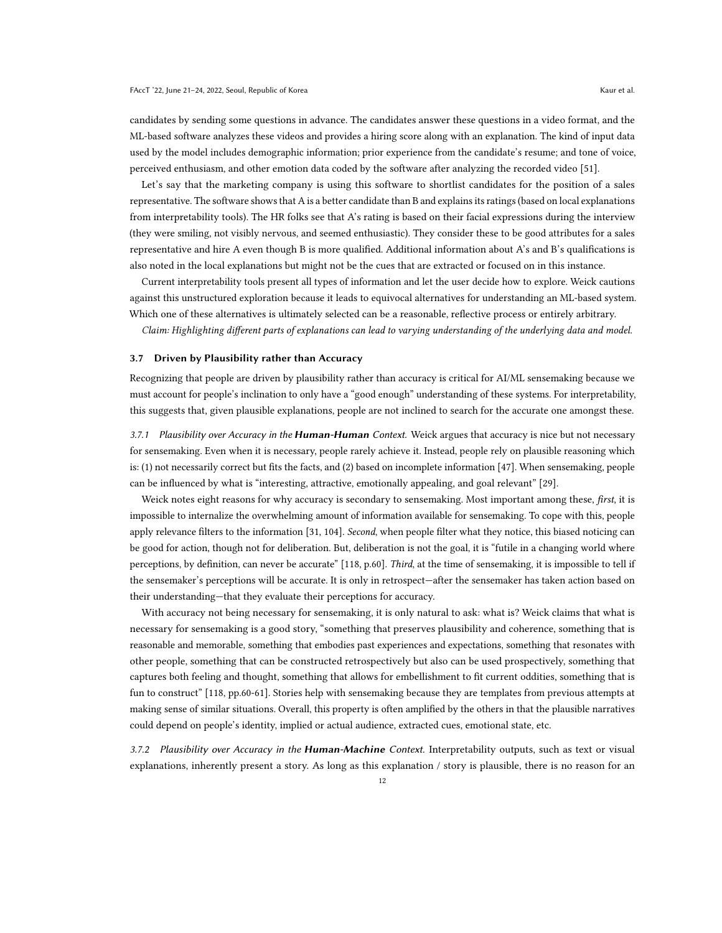candidates by sending some questions in advance. The candidates answer these questions in a video format, and the ML-based software analyzes these videos and provides a hiring score along with an explanation. The kind of input data used by the model includes demographic information; prior experience from the candidate's resume; and tone of voice, perceived enthusiasm, and other emotion data coded by the software after analyzing the recorded video [\[51\]](#page-16-21).

Let's say that the marketing company is using this software to shortlist candidates for the position of a sales representative. The software shows that A is a better candidate than B and explains its ratings (based on local explanations from interpretability tools). The HR folks see that A's rating is based on their facial expressions during the interview (they were smiling, not visibly nervous, and seemed enthusiastic). They consider these to be good attributes for a sales representative and hire A even though B is more qualified. Additional information about A's and B's qualifications is also noted in the local explanations but might not be the cues that are extracted or focused on in this instance.

Current interpretability tools present all types of information and let the user decide how to explore. Weick cautions against this unstructured exploration because it leads to equivocal alternatives for understanding an ML-based system. Which one of these alternatives is ultimately selected can be a reasonable, reflective process or entirely arbitrary.

Claim: Highlighting different parts of explanations can lead to varying understanding of the underlying data and model.

### <span id="page-11-0"></span>3.7 Driven by Plausibility rather than Accuracy

Recognizing that people are driven by plausibility rather than accuracy is critical for AI/ML sensemaking because we must account for people's inclination to only have a "good enough" understanding of these systems. For interpretability, this suggests that, given plausible explanations, people are not inclined to search for the accurate one amongst these.

3.7.1 Plausibility over Accuracy in the Human-Human Context. Weick argues that accuracy is nice but not necessary for sensemaking. Even when it is necessary, people rarely achieve it. Instead, people rely on plausible reasoning which is: (1) not necessarily correct but fits the facts, and (2) based on incomplete information [\[47\]](#page-16-22). When sensemaking, people can be influenced by what is "interesting, attractive, emotionally appealing, and goal relevant" [\[29\]](#page-16-23).

Weick notes eight reasons for why accuracy is secondary to sensemaking. Most important among these, first, it is impossible to internalize the overwhelming amount of information available for sensemaking. To cope with this, people apply relevance filters to the information [\[31,](#page-16-24) [104\]](#page-18-29). Second, when people filter what they notice, this biased noticing can be good for action, though not for deliberation. But, deliberation is not the goal, it is "futile in a changing world where perceptions, by definition, can never be accurate" [\[118,](#page-19-2) p.60]. Third, at the time of sensemaking, it is impossible to tell if the sensemaker's perceptions will be accurate. It is only in retrospect—after the sensemaker has taken action based on their understanding—that they evaluate their perceptions for accuracy.

With accuracy not being necessary for sensemaking, it is only natural to ask: what is? Weick claims that what is necessary for sensemaking is a good story, "something that preserves plausibility and coherence, something that is reasonable and memorable, something that embodies past experiences and expectations, something that resonates with other people, something that can be constructed retrospectively but also can be used prospectively, something that captures both feeling and thought, something that allows for embellishment to fit current oddities, something that is fun to construct" [\[118,](#page-19-2) pp.60-61]. Stories help with sensemaking because they are templates from previous attempts at making sense of similar situations. Overall, this property is often amplified by the others in that the plausible narratives could depend on people's identity, implied or actual audience, extracted cues, emotional state, etc.

3.7.2 Plausibility over Accuracy in the Human-Machine Context. Interpretability outputs, such as text or visual explanations, inherently present a story. As long as this explanation / story is plausible, there is no reason for an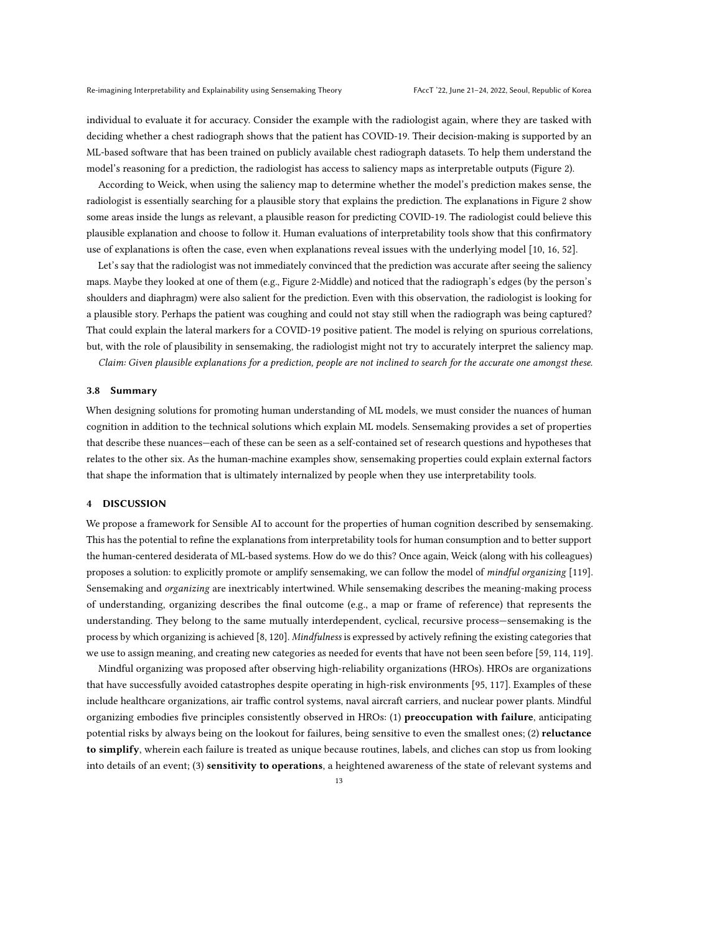individual to evaluate it for accuracy. Consider the example with the radiologist again, where they are tasked with deciding whether a chest radiograph shows that the patient has COVID-19. Their decision-making is supported by an ML-based software that has been trained on publicly available chest radiograph datasets. To help them understand the model's reasoning for a prediction, the radiologist has access to saliency maps as interpretable outputs (Figure [2\)](#page-8-0).

According to Weick, when using the saliency map to determine whether the model's prediction makes sense, the radiologist is essentially searching for a plausible story that explains the prediction. The explanations in Figure [2](#page-8-0) show some areas inside the lungs as relevant, a plausible reason for predicting COVID-19. The radiologist could believe this plausible explanation and choose to follow it. Human evaluations of interpretability tools show that this confirmatory use of explanations is often the case, even when explanations reveal issues with the underlying model [\[10,](#page-15-1) [16,](#page-15-10) [52\]](#page-16-2).

Let's say that the radiologist was not immediately convinced that the prediction was accurate after seeing the saliency maps. Maybe they looked at one of them (e.g., Figure [2-](#page-8-0)Middle) and noticed that the radiograph's edges (by the person's shoulders and diaphragm) were also salient for the prediction. Even with this observation, the radiologist is looking for a plausible story. Perhaps the patient was coughing and could not stay still when the radiograph was being captured? That could explain the lateral markers for a COVID-19 positive patient. The model is relying on spurious correlations, but, with the role of plausibility in sensemaking, the radiologist might not try to accurately interpret the saliency map.

Claim: Given plausible explanations for a prediction, people are not inclined to search for the accurate one amongst these.

#### 3.8 Summary

When designing solutions for promoting human understanding of ML models, we must consider the nuances of human cognition in addition to the technical solutions which explain ML models. Sensemaking provides a set of properties that describe these nuances—each of these can be seen as a self-contained set of research questions and hypotheses that relates to the other six. As the human-machine examples show, sensemaking properties could explain external factors that shape the information that is ultimately internalized by people when they use interpretability tools.

## 4 DISCUSSION

We propose a framework for Sensible AI to account for the properties of human cognition described by sensemaking. This has the potential to refine the explanations from interpretability tools for human consumption and to better support the human-centered desiderata of ML-based systems. How do we do this? Once again, Weick (along with his colleagues) proposes a solution: to explicitly promote or amplify sensemaking, we can follow the model of *mindful organizing* [\[119\]](#page-19-9). Sensemaking and organizing are inextricably intertwined. While sensemaking describes the meaning-making process of understanding, organizing describes the final outcome (e.g., a map or frame of reference) that represents the understanding. They belong to the same mutually interdependent, cyclical, recursive process—sensemaking is the process by which organizing is achieved [\[8,](#page-15-20) [120\]](#page-19-10). Mindfulness is expressed by actively refining the existing categories that we use to assign meaning, and creating new categories as needed for events that have not been seen before [\[59,](#page-17-25) [114,](#page-19-11) [119\]](#page-19-9).

Mindful organizing was proposed after observing high-reliability organizations (HROs). HROs are organizations that have successfully avoided catastrophes despite operating in high-risk environments [\[95,](#page-18-30) [117\]](#page-19-12). Examples of these include healthcare organizations, air traffic control systems, naval aircraft carriers, and nuclear power plants. Mindful organizing embodies five principles consistently observed in HROs: (1) preoccupation with failure, anticipating potential risks by always being on the lookout for failures, being sensitive to even the smallest ones; (2) reluctance to simplify, wherein each failure is treated as unique because routines, labels, and cliches can stop us from looking into details of an event; (3) sensitivity to operations, a heightened awareness of the state of relevant systems and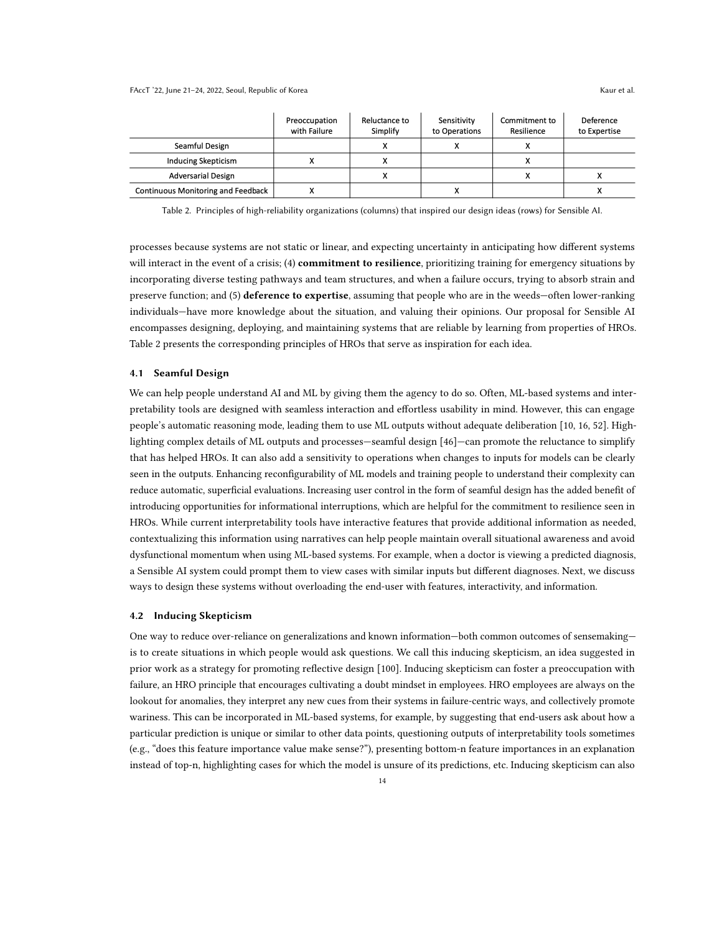Continuous Monitoring and Feedback

<span id="page-13-0"></span>

|                           | Preoccupation<br>with Failure | Reluctance to<br>Simplify | Sensitivity<br>to Operations | Commitment to<br>Resilience | Deference<br>to Expertise |
|---------------------------|-------------------------------|---------------------------|------------------------------|-----------------------------|---------------------------|
| Seamful Design            |                               |                           |                              |                             |                           |
| Inducing Skepticism       |                               |                           |                              |                             |                           |
| <b>Adversarial Design</b> |                               |                           |                              |                             |                           |

χ

Table 2. Principles of high-reliability organizations (columns) that inspired our design ideas (rows) for Sensible AI.

χ

processes because systems are not static or linear, and expecting uncertainty in anticipating how different systems will interact in the event of a crisis; (4) **commitment to resilience**, prioritizing training for emergency situations by incorporating diverse testing pathways and team structures, and when a failure occurs, trying to absorb strain and preserve function; and (5) **deference to expertise**, assuming that people who are in the weeds—often lower-ranking individuals—have more knowledge about the situation, and valuing their opinions. Our proposal for Sensible AI encompasses designing, deploying, and maintaining systems that are reliable by learning from properties of HROs. Table [2](#page-13-0) presents the corresponding principles of HROs that serve as inspiration for each idea.

#### 4.1 Seamful Design

We can help people understand AI and ML by giving them the agency to do so. Often, ML-based systems and interpretability tools are designed with seamless interaction and effortless usability in mind. However, this can engage people's automatic reasoning mode, leading them to use ML outputs without adequate deliberation [\[10,](#page-15-1) [16,](#page-15-10) [52\]](#page-16-2). Highlighting complex details of ML outputs and processes—seamful design [\[46\]](#page-16-25)—can promote the reluctance to simplify that has helped HROs. It can also add a sensitivity to operations when changes to inputs for models can be clearly seen in the outputs. Enhancing reconfigurability of ML models and training people to understand their complexity can reduce automatic, superficial evaluations. Increasing user control in the form of seamful design has the added benefit of introducing opportunities for informational interruptions, which are helpful for the commitment to resilience seen in HROs. While current interpretability tools have interactive features that provide additional information as needed, contextualizing this information using narratives can help people maintain overall situational awareness and avoid dysfunctional momentum when using ML-based systems. For example, when a doctor is viewing a predicted diagnosis, a Sensible AI system could prompt them to view cases with similar inputs but different diagnoses. Next, we discuss ways to design these systems without overloading the end-user with features, interactivity, and information.

#### 4.2 Inducing Skepticism

One way to reduce over-reliance on generalizations and known information—both common outcomes of sensemaking is to create situations in which people would ask questions. We call this inducing skepticism, an idea suggested in prior work as a strategy for promoting reflective design [\[100\]](#page-18-31). Inducing skepticism can foster a preoccupation with failure, an HRO principle that encourages cultivating a doubt mindset in employees. HRO employees are always on the lookout for anomalies, they interpret any new cues from their systems in failure-centric ways, and collectively promote wariness. This can be incorporated in ML-based systems, for example, by suggesting that end-users ask about how a particular prediction is unique or similar to other data points, questioning outputs of interpretability tools sometimes (e.g., "does this feature importance value make sense?"), presenting bottom-n feature importances in an explanation instead of top-n, highlighting cases for which the model is unsure of its predictions, etc. Inducing skepticism can also

X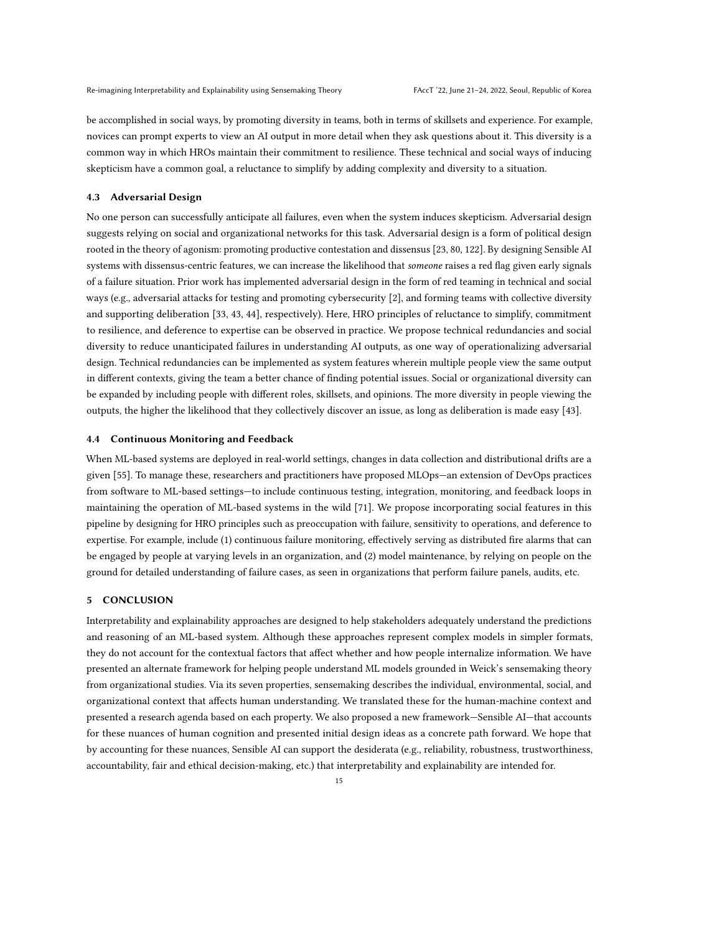be accomplished in social ways, by promoting diversity in teams, both in terms of skillsets and experience. For example, novices can prompt experts to view an AI output in more detail when they ask questions about it. This diversity is a common way in which HROs maintain their commitment to resilience. These technical and social ways of inducing skepticism have a common goal, a reluctance to simplify by adding complexity and diversity to a situation.

#### 4.3 Adversarial Design

No one person can successfully anticipate all failures, even when the system induces skepticism. Adversarial design suggests relying on social and organizational networks for this task. Adversarial design is a form of political design rooted in the theory of agonism: promoting productive contestation and dissensus [\[23,](#page-16-26) [80,](#page-17-26) [122\]](#page-19-13). By designing Sensible AI systems with dissensus-centric features, we can increase the likelihood that someone raises a red flag given early signals of a failure situation. Prior work has implemented adversarial design in the form of red teaming in technical and social ways (e.g., adversarial attacks for testing and promoting cybersecurity [\[2\]](#page-15-21), and forming teams with collective diversity and supporting deliberation [\[33,](#page-16-27) [43,](#page-16-28) [44\]](#page-16-29), respectively). Here, HRO principles of reluctance to simplify, commitment to resilience, and deference to expertise can be observed in practice. We propose technical redundancies and social diversity to reduce unanticipated failures in understanding AI outputs, as one way of operationalizing adversarial design. Technical redundancies can be implemented as system features wherein multiple people view the same output in different contexts, giving the team a better chance of finding potential issues. Social or organizational diversity can be expanded by including people with different roles, skillsets, and opinions. The more diversity in people viewing the outputs, the higher the likelihood that they collectively discover an issue, as long as deliberation is made easy [\[43\]](#page-16-28).

## 4.4 Continuous Monitoring and Feedback

When ML-based systems are deployed in real-world settings, changes in data collection and distributional drifts are a given [\[55\]](#page-17-22). To manage these, researchers and practitioners have proposed MLOps—an extension of DevOps practices from software to ML-based settings—to include continuous testing, integration, monitoring, and feedback loops in maintaining the operation of ML-based systems in the wild [\[71\]](#page-17-27). We propose incorporating social features in this pipeline by designing for HRO principles such as preoccupation with failure, sensitivity to operations, and deference to expertise. For example, include (1) continuous failure monitoring, effectively serving as distributed fire alarms that can be engaged by people at varying levels in an organization, and (2) model maintenance, by relying on people on the ground for detailed understanding of failure cases, as seen in organizations that perform failure panels, audits, etc.

### 5 CONCLUSION

Interpretability and explainability approaches are designed to help stakeholders adequately understand the predictions and reasoning of an ML-based system. Although these approaches represent complex models in simpler formats, they do not account for the contextual factors that affect whether and how people internalize information. We have presented an alternate framework for helping people understand ML models grounded in Weick's sensemaking theory from organizational studies. Via its seven properties, sensemaking describes the individual, environmental, social, and organizational context that affects human understanding. We translated these for the human-machine context and presented a research agenda based on each property. We also proposed a new framework—Sensible AI—that accounts for these nuances of human cognition and presented initial design ideas as a concrete path forward. We hope that by accounting for these nuances, Sensible AI can support the desiderata (e.g., reliability, robustness, trustworthiness, accountability, fair and ethical decision-making, etc.) that interpretability and explainability are intended for.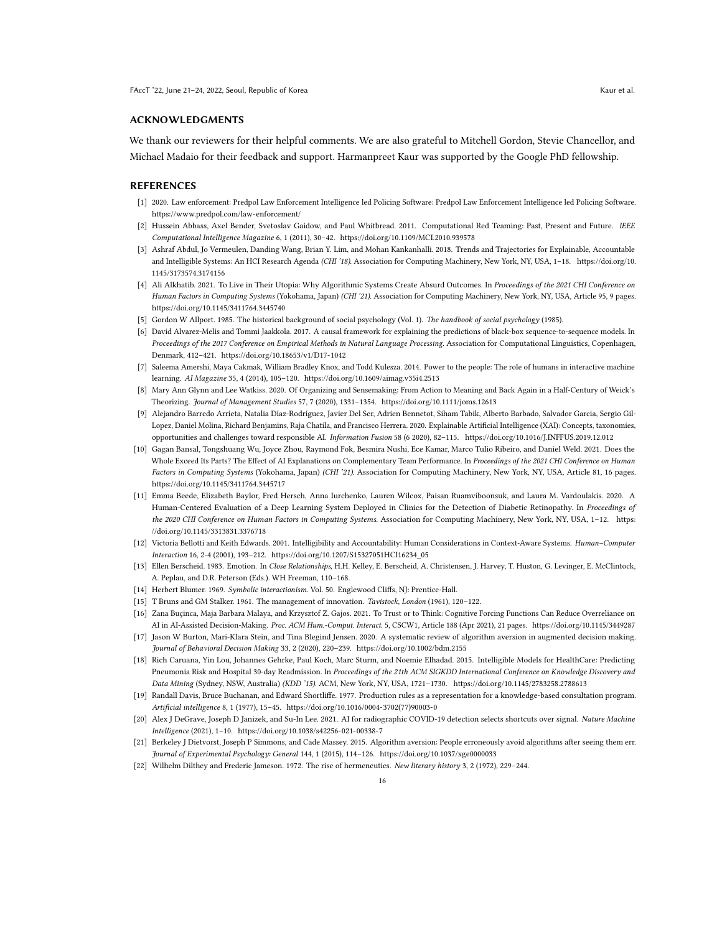### ACKNOWLEDGMENTS

We thank our reviewers for their helpful comments. We are also grateful to Mitchell Gordon, Stevie Chancellor, and Michael Madaio for their feedback and support. Harmanpreet Kaur was supported by the Google PhD fellowship.

#### REFERENCES

- <span id="page-15-17"></span>[1] 2020. Law enforcement: Predpol Law Enforcement Intelligence led Policing Software: Predpol Law Enforcement Intelligence led Policing Software. <https://www.predpol.com/law-enforcement/>
- <span id="page-15-21"></span>[2] Hussein Abbass, Axel Bender, Svetoslav Gaidow, and Paul Whitbread. 2011. Computational Red Teaming: Past, Present and Future. IEEE Computational Intelligence Magazine 6, 1 (2011), 30–42.<https://doi.org/10.1109/MCI.2010.939578>
- <span id="page-15-8"></span>[3] Ashraf Abdul, Jo Vermeulen, Danding Wang, Brian Y. Lim, and Mohan Kankanhalli. 2018. Trends and Trajectories for Explainable, Accountable and Intelligible Systems: An HCI Research Agenda (CHI '18). Association for Computing Machinery, New York, NY, USA, 1–18. [https://doi.org/10.](https://doi.org/10.1145/3173574.3174156) [1145/3173574.3174156](https://doi.org/10.1145/3173574.3174156)
- <span id="page-15-11"></span>[4] Ali Alkhatib. 2021. To Live in Their Utopia: Why Algorithmic Systems Create Absurd Outcomes. In Proceedings of the 2021 CHI Conference on Human Factors in Computing Systems (Yokohama, Japan) (CHI '21). Association for Computing Machinery, New York, NY, USA, Article 95, 9 pages. <https://doi.org/10.1145/3411764.3445740>
- <span id="page-15-12"></span>[5] Gordon W Allport. 1985. The historical background of social psychology (Vol. 1). The handbook of social psychology (1985).
- <span id="page-15-4"></span>[6] David Alvarez-Melis and Tommi Jaakkola. 2017. A causal framework for explaining the predictions of black-box sequence-to-sequence models. In Proceedings of the 2017 Conference on Empirical Methods in Natural Language Processing. Association for Computational Linguistics, Copenhagen, Denmark, 412–421.<https://doi.org/10.18653/v1/D17-1042>
- <span id="page-15-7"></span>Saleema Amershi, Maya Cakmak, William Bradley Knox, and Todd Kulesza. 2014. Power to the people: The role of humans in interactive machine learning. AI Magazine 35, 4 (2014), 105–120.<https://doi.org/10.1609/aimag.v35i4.2513>
- <span id="page-15-20"></span>[8] Mary Ann Glynn and Lee Watkiss. 2020. Of Organizing and Sensemaking: From Action to Meaning and Back Again in a Half-Century of Weick's Theorizing. Journal of Management Studies 57, 7 (2020), 1331–1354.<https://doi.org/10.1111/joms.12613>
- <span id="page-15-5"></span>[9] Alejandro Barredo Arrieta, Natalia Díaz-Rodríguez, Javier Del Ser, Adrien Bennetot, Siham Tabik, Alberto Barbado, Salvador Garcia, Sergio Gil-Lopez, Daniel Molina, Richard Benjamins, Raja Chatila, and Francisco Herrera. 2020. Explainable Artificial Intelligence (XAI): Concepts, taxonomies, opportunities and challenges toward responsible AI. Information Fusion 58 (6 2020), 82–115.<https://doi.org/10.1016/J.INFFUS.2019.12.012>
- <span id="page-15-1"></span>[10] Gagan Bansal, Tongshuang Wu, Joyce Zhou, Raymond Fok, Besmira Nushi, Ece Kamar, Marco Tulio Ribeiro, and Daniel Weld. 2021. Does the Whole Exceed Its Parts? The Effect of AI Explanations on Complementary Team Performance. In Proceedings of the 2021 CHI Conference on Human Factors in Computing Systems (Yokohama, Japan) (CHI '21). Association for Computing Machinery, New York, NY, USA, Article 81, 16 pages. <https://doi.org/10.1145/3411764.3445717>
- <span id="page-15-14"></span>[11] Emma Beede, Elizabeth Baylor, Fred Hersch, Anna Iurchenko, Lauren Wilcox, Paisan Ruamviboonsuk, and Laura M. Vardoulakis. 2020. A Human-Centered Evaluation of a Deep Learning System Deployed in Clinics for the Detection of Diabetic Retinopathy. In Proceedings of the 2020 CHI Conference on Human Factors in Computing Systems. Association for Computing Machinery, New York, NY, USA, 1-12. [https:](https://doi.org/10.1145/3313831.3376718) [//doi.org/10.1145/3313831.3376718](https://doi.org/10.1145/3313831.3376718)
- <span id="page-15-6"></span>[12] Victoria Bellotti and Keith Edwards. 2001. Intelligibility and Accountability: Human Considerations in Context-Aware Systems. Human-Computer Interaction 16, 2-4 (2001), 193–212. [https://doi.org/10.1207/S15327051HCI16234\\_05](https://doi.org/10.1207/S15327051HCI16234_05)
- <span id="page-15-19"></span>[13] Ellen Berscheid. 1983. Emotion. In Close Relationships, H.H. Kelley, E. Berscheid, A. Christensen, J. Harvey, T. Huston, G. Levinger, E. McClintock, A. Peplau, and D.R. Peterson (Eds.). WH Freeman, 110–168.
- <span id="page-15-16"></span>[14] Herbert Blumer. 1969. Symbolic interactionism. Vol. 50. Englewood Cliffs, NJ: Prentice-Hall.
- <span id="page-15-13"></span>[15] T Bruns and GM Stalker. 1961. The management of innovation. Tavistock, London (1961), 120–122.
- <span id="page-15-10"></span>[16] Zana Buçinca, Maja Barbara Malaya, and Krzysztof Z. Gajos. 2021. To Trust or to Think: Cognitive Forcing Functions Can Reduce Overreliance on AI in AI-Assisted Decision-Making. Proc. ACM Hum.-Comput. Interact. 5, CSCW1, Article 188 (Apr 2021), 21 pages.<https://doi.org/10.1145/3449287>
- <span id="page-15-2"></span>[17] Jason W Burton, Mari-Klara Stein, and Tina Blegind Jensen. 2020. A systematic review of algorithm aversion in augmented decision making. Journal of Behavioral Decision Making 33, 2 (2020), 220–239.<https://doi.org/10.1002/bdm.2155>
- <span id="page-15-0"></span>[18] Rich Caruana, Yin Lou, Johannes Gehrke, Paul Koch, Marc Sturm, and Noemie Elhadad. 2015. Intelligible Models for HealthCare: Predicting Pneumonia Risk and Hospital 30-day Readmission. In Proceedings of the 21th ACM SIGKDD International Conference on Knowledge Discovery and Data Mining (Sydney, NSW, Australia) (KDD '15). ACM, New York, NY, USA, 1721–1730.<https://doi.org/10.1145/2783258.2788613>
- <span id="page-15-9"></span>[19] Randall Davis, Bruce Buchanan, and Edward Shortliffe. 1977. Production rules as a representation for a knowledge-based consultation program. Artificial intelligence 8, 1 (1977), 15–45. [https://doi.org/10.1016/0004-3702\(77\)90003-0](https://doi.org/10.1016/0004-3702(77)90003-0)
- <span id="page-15-15"></span>[20] Alex J DeGrave, Joseph D Janizek, and Su-In Lee. 2021. AI for radiographic COVID-19 detection selects shortcuts over signal. Nature Machine Intelligence (2021), 1–10.<https://doi.org/10.1038/s42256-021-00338-7>
- <span id="page-15-3"></span>[21] Berkeley J Dietvorst, Joseph P Simmons, and Cade Massey. 2015. Algorithm aversion: People erroneously avoid algorithms after seeing them err. Journal of Experimental Psychology: General 144, 1 (2015), 114–126.<https://doi.org/10.1037/xge0000033>
- <span id="page-15-18"></span>[22] Wilhelm Dilthey and Frederic Jameson. 1972. The rise of hermeneutics. New literary history 3, 2 (1972), 229–244.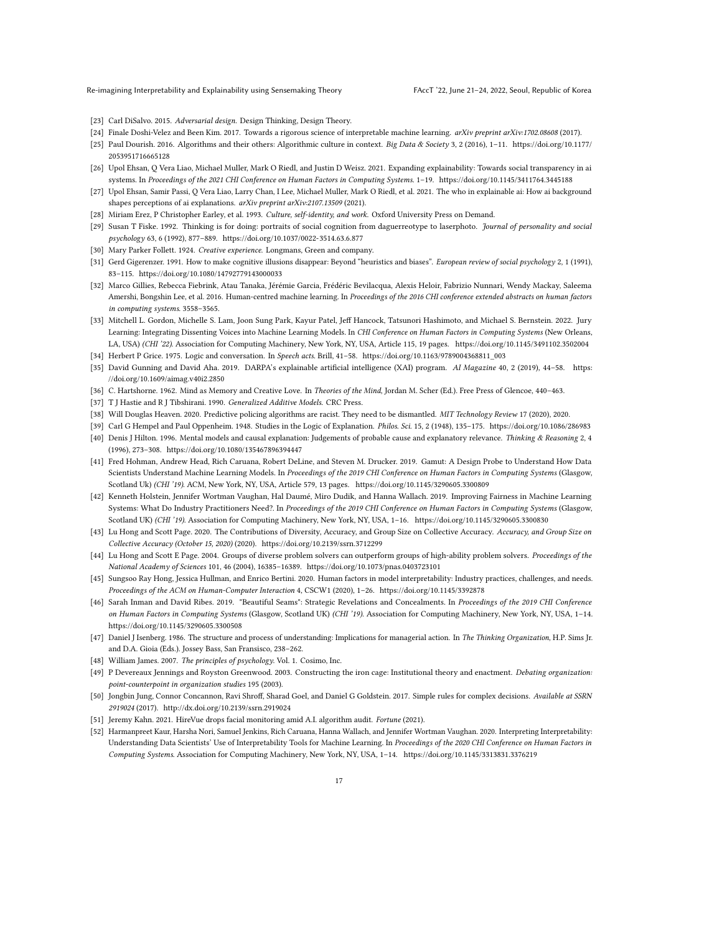- <span id="page-16-26"></span>[23] Carl DiSalvo. 2015. Adversarial design. Design Thinking, Design Theory.
- <span id="page-16-11"></span><span id="page-16-7"></span>[24] Finale Doshi-Velez and Been Kim. 2017. Towards a rigorous science of interpretable machine learning. arXiv preprint arXiv:1702.08608 (2017).
- [25] Paul Dourish. 2016. Algorithms and their others: Algorithmic culture in context. Big Data & Society 3, 2 (2016), 1–11. [https://doi.org/10.1177/](https://doi.org/10.1177/2053951716665128) [2053951716665128](https://doi.org/10.1177/2053951716665128)
- <span id="page-16-4"></span>[26] Upol Ehsan, Q Vera Liao, Michael Muller, Mark O Riedl, and Justin D Weisz. 2021. Expanding explainability: Towards social transparency in ai systems. In Proceedings of the 2021 CHI Conference on Human Factors in Computing Systems. 1-19.<https://doi.org/10.1145/3411764.3445188>
- <span id="page-16-3"></span>[27] Upol Ehsan, Samir Passi, Q Vera Liao, Larry Chan, I Lee, Michael Muller, Mark O Riedl, et al. 2021. The who in explainable ai: How ai background shapes perceptions of ai explanations. arXiv preprint arXiv:2107.13509 (2021).
- <span id="page-16-16"></span>[28] Miriam Erez, P Christopher Earley, et al. 1993. Culture, self-identity, and work. Oxford University Press on Demand.
- <span id="page-16-23"></span>[29] Susan T Fiske. 1992. Thinking is for doing: portraits of social cognition from daguerreotype to laserphoto. Journal of personality and social psychology 63, 6 (1992), 877–889.<https://doi.org/10.1037/0022-3514.63.6.877>
- <span id="page-16-18"></span>[30] Mary Parker Follett. 1924. Creative experience. Longmans, Green and company.
- <span id="page-16-24"></span>[31] Gerd Gigerenzer. 1991. How to make cognitive illusions disappear: Beyond "heuristics and biases". European review of social psychology 2, 1 (1991), 83–115.<https://doi.org/10.1080/14792779143000033>
- <span id="page-16-12"></span>[32] Marco Gillies, Rebecca Fiebrink, Atau Tanaka, Jérémie Garcia, Frédéric Bevilacqua, Alexis Heloir, Fabrizio Nunnari, Wendy Mackay, Saleema Amershi, Bongshin Lee, et al. 2016. Human-centred machine learning. In Proceedings of the 2016 CHI conference extended abstracts on human factors in computing systems. 3558–3565.
- <span id="page-16-27"></span>[33] Mitchell L. Gordon, Michelle S. Lam, Joon Sung Park, Kayur Patel, Jeff Hancock, Tatsunori Hashimoto, and Michael S. Bernstein. 2022. Jury Learning: Integrating Dissenting Voices into Machine Learning Models. In CHI Conference on Human Factors in Computing Systems (New Orleans, LA, USA) (CHI '22). Association for Computing Machinery, New York, NY, USA, Article 115, 19 pages.<https://doi.org/10.1145/3491102.3502004>
- <span id="page-16-8"></span>[34] Herbert P Grice. 1975. Logic and conversation. In Speech acts. Brill, 41–58. [https://doi.org/10.1163/9789004368811\\_003](https://doi.org/10.1163/9789004368811_003)
- <span id="page-16-5"></span>[35] David Gunning and David Aha. 2019. DARPA's explainable artificial intelligence (XAI) program. AI Magazine 40, 2 (2019), 44-58. [https:](https://doi.org/10.1609/aimag.v40i2.2850) [//doi.org/10.1609/aimag.v40i2.2850](https://doi.org/10.1609/aimag.v40i2.2850)
- <span id="page-16-17"></span><span id="page-16-1"></span>[36] C. Hartshorne. 1962. Mind as Memory and Creative Love. In Theories of the Mind, Jordan M. Scher (Ed.). Free Press of Glencoe, 440–463.
- [37] T J Hastie and R J Tibshirani. 1990. *Generalized Additive Models*. CRC Press.
- <span id="page-16-19"></span>[38] Will Douglas Heaven. 2020. Predictive policing algorithms are racist. They need to be dismantled. MIT Technology Review 17 (2020), 2020.
- <span id="page-16-9"></span>[39] Carl G Hempel and Paul Oppenheim. 1948. Studies in the Logic of Explanation. Philos. Sci. 15, 2 (1948), 135–175.<https://doi.org/10.1086/286983>
- <span id="page-16-10"></span>[40] Denis J Hilton. 1996. Mental models and causal explanation: Judgements of probable cause and explanatory relevance. Thinking & Reasoning 2, 4 (1996), 273–308.<https://doi.org/10.1080/135467896394447>
- <span id="page-16-13"></span>[41] Fred Hohman, Andrew Head, Rich Caruana, Robert DeLine, and Steven M. Drucker. 2019. Gamut: A Design Probe to Understand How Data Scientists Understand Machine Learning Models. In Proceedings of the 2019 CHI Conference on Human Factors in Computing Systems (Glasgow, Scotland Uk) (CHI '19). ACM, New York, NY, USA, Article 579, 13 pages.<https://doi.org/10.1145/3290605.3300809>
- <span id="page-16-14"></span>[42] Kenneth Holstein, Jennifer Wortman Vaughan, Hal Daumé, Miro Dudik, and Hanna Wallach. 2019. Improving Fairness in Machine Learning Systems: What Do Industry Practitioners Need?. In Proceedings of the 2019 CHI Conference on Human Factors in Computing Systems (Glasgow, Scotland UK) (CHI '19). Association for Computing Machinery, New York, NY, USA, 1–16.<https://doi.org/10.1145/3290605.3300830>
- <span id="page-16-28"></span>[43] Lu Hong and Scott Page. 2020. The Contributions of Diversity, Accuracy, and Group Size on Collective Accuracy. Accuracy, and Group Size on Collective Accuracy (October 15, 2020) (2020).<https://doi.org/10.2139/ssrn.3712299>
- <span id="page-16-29"></span>[44] Lu Hong and Scott E Page. 2004. Groups of diverse problem solvers can outperform groups of high-ability problem solvers. Proceedings of the National Academy of Sciences 101, 46 (2004), 16385–16389.<https://doi.org/10.1073/pnas.0403723101>
- <span id="page-16-15"></span>[45] Sungsoo Ray Hong, Jessica Hullman, and Enrico Bertini. 2020. Human factors in model interpretability: Industry practices, challenges, and needs. Proceedings of the ACM on Human-Computer Interaction 4, CSCW1 (2020), 1–26.<https://doi.org/10.1145/3392878>
- <span id="page-16-25"></span>[46] Sarah Inman and David Ribes. 2019. "Beautiful Seams": Strategic Revelations and Concealments. In Proceedings of the 2019 CHI Conference on Human Factors in Computing Systems (Glasgow, Scotland UK) (CHI '19). Association for Computing Machinery, New York, NY, USA, 1–14. <https://doi.org/10.1145/3290605.3300508>
- <span id="page-16-22"></span>[47] Daniel J Isenberg. 1986. The structure and process of understanding: Implications for managerial action. In The Thinking Organization, H.P. Sims Jr. and D.A. Gioia (Eds.). Jossey Bass, San Fransisco, 238–262.
- <span id="page-16-20"></span>[48] William James. 2007. The principles of psychology. Vol. 1. Cosimo, Inc.
- <span id="page-16-6"></span>[49] P Devereaux Jennings and Royston Greenwood. 2003. Constructing the iron cage: Institutional theory and enactment. Debating organization: point-counterpoint in organization studies 195 (2003).
- <span id="page-16-0"></span>[50] Jongbin Jung, Connor Concannon, Ravi Shroff, Sharad Goel, and Daniel G Goldstein. 2017. Simple rules for complex decisions. Available at SSRN 2919024 (2017).<http://dx.doi.org/10.2139/ssrn.2919024>
- <span id="page-16-21"></span>[51] Jeremy Kahn. 2021. HireVue drops facial monitoring amid A.I. algorithm audit. Fortune (2021).
- <span id="page-16-2"></span>[52] Harmanpreet Kaur, Harsha Nori, Samuel Jenkins, Rich Caruana, Hanna Wallach, and Jennifer Wortman Vaughan. 2020. Interpreting Interpretability: Understanding Data Scientists' Use of Interpretability Tools for Machine Learning. In Proceedings of the 2020 CHI Conference on Human Factors in Computing Systems. Association for Computing Machinery, New York, NY, USA, 1–14.<https://doi.org/10.1145/3313831.3376219>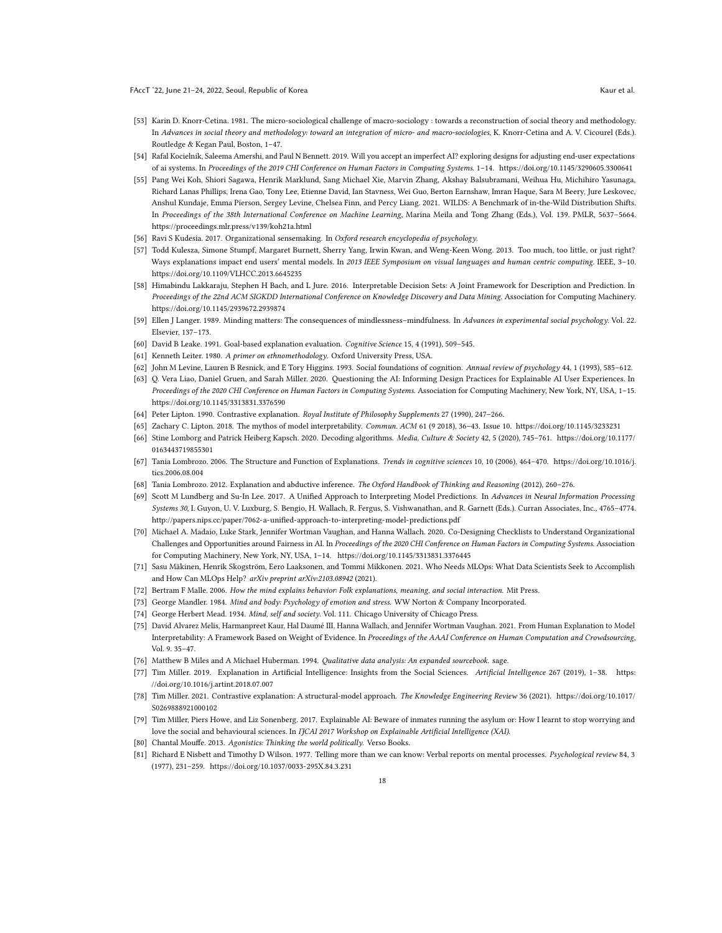- <span id="page-17-20"></span>[53] Karin D. Knorr-Cetina. 1981. The micro-sociological challenge of macro-sociology : towards a reconstruction of social theory and methodology. In Advances in social theory and methodology: toward an integration of micro- and macro-sociologies, K. Knorr-Cetina and A. V. Cicourel (Eds.). Routledge & Kegan Paul, Boston, 1–47.
- <span id="page-17-1"></span>[54] Rafal Kocielnik, Saleema Amershi, and Paul N Bennett. 2019. Will you accept an imperfect AI? exploring designs for adjusting end-user expectations of ai systems. In Proceedings of the 2019 CHI Conference on Human Factors in Computing Systems. 1–14.<https://doi.org/10.1145/3290605.3300641>
- <span id="page-17-22"></span>[55] Pang Wei Koh, Shiori Sagawa, Henrik Marklund, Sang Michael Xie, Marvin Zhang, Akshay Balsubramani, Weihua Hu, Michihiro Yasunaga, Richard Lanas Phillips, Irena Gao, Tony Lee, Etienne David, Ian Stavness, Wei Guo, Berton Earnshaw, Imran Haque, Sara M Beery, Jure Leskovec, Anshul Kundaje, Emma Pierson, Sergey Levine, Chelsea Finn, and Percy Liang. 2021. WILDS: A Benchmark of in-the-Wild Distribution Shifts. In Proceedings of the 38th International Conference on Machine Learning, Marina Meila and Tong Zhang (Eds.), Vol. 139. PMLR, 5637–5664. <https://proceedings.mlr.press/v139/koh21a.html>
- <span id="page-17-4"></span>[56] Ravi S Kudesia. 2017. Organizational sensemaking. In Oxford research encyclopedia of psychology.
- <span id="page-17-16"></span>[57] Todd Kulesza, Simone Stumpf, Margaret Burnett, Sherry Yang, Irwin Kwan, and Weng-Keen Wong. 2013. Too much, too little, or just right? Ways explanations impact end users' mental models. In 2013 IEEE Symposium on visual languages and human centric computing. IEEE, 3-10. <https://doi.org/10.1109/VLHCC.2013.6645235>
- <span id="page-17-6"></span>[58] Himabindu Lakkaraju, Stephen H Bach, and L Jure. 2016. Interpretable Decision Sets: A Joint Framework for Description and Prediction. In Proceedings of the 22nd ACM SIGKDD International Conference on Knowledge Discovery and Data Mining. Association for Computing Machinery. <https://doi.org/10.1145/2939672.2939874>
- <span id="page-17-25"></span>[59] Ellen J Langer. 1989. Minding matters: The consequences of mindlessness-mindfulness. In Advances in experimental social psychology. Vol. 22. Elsevier, 137–173.
- <span id="page-17-24"></span><span id="page-17-8"></span>[60] David B Leake. 1991. Goal-based explanation evaluation. Cognitive Science 15, 4 (1991), 509–545.
- <span id="page-17-21"></span>[61] Kenneth Leiter. 1980. A primer on ethnomethodology. Oxford University Press, USA.
- [62] John M Levine, Lauren B Resnick, and E Tory Higgins. 1993. Social foundations of cognition. Annual review of psychology 44, 1 (1993), 585–612.
- <span id="page-17-15"></span>[63] Q. Vera Liao, Daniel Gruen, and Sarah Miller. 2020. Questioning the AI: Informing Design Practices for Explainable AI User Experiences. In Proceedings of the 2020 CHI Conference on Human Factors in Computing Systems. Association for Computing Machinery, New York, NY, USA, 1–15. <https://doi.org/10.1145/3313831.3376590>
- <span id="page-17-7"></span>[64] Peter Lipton. 1990. Contrastive explanation. Royal Institute of Philosophy Supplements 27 (1990), 247–266.
- <span id="page-17-5"></span>[65] Zachary C. Lipton. 2018. The mythos of model interpretability. Commun. ACM 61 (9 2018), 36–43. Issue 10.<https://doi.org/10.1145/3233231>
- <span id="page-17-9"></span>[66] Stine Lomborg and Patrick Heiberg Kapsch. 2020. Decoding algorithms. Media, Culture & Society 42, 5 (2020), 745–761. [https://doi.org/10.1177/](https://doi.org/10.1177/0163443719855301) [0163443719855301](https://doi.org/10.1177/0163443719855301)
- [67] Tania Lombrozo. 2006. The Structure and Function of Explanations. Trends in cognitive sciences 10, 10 (2006), 464–470. [https://doi.org/10.1016/j.](https://doi.org/10.1016/j.tics.2006.08.004) [tics.2006.08.004](https://doi.org/10.1016/j.tics.2006.08.004)
- <span id="page-17-10"></span>[68] Tania Lombrozo. 2012. Explanation and abductive inference. The Oxford Handbook of Thinking and Reasoning (2012), 260–276.
- <span id="page-17-0"></span>[69] Scott M Lundberg and Su-In Lee. 2017. A Unified Approach to Interpreting Model Predictions. In Advances in Neural Information Processing Systems 30, I. Guyon, U. V. Luxburg, S. Bengio, H. Wallach, R. Fergus, S. Vishwanathan, and R. Garnett (Eds.). Curran Associates, Inc., 4765–4774. <http://papers.nips.cc/paper/7062-a-unified-approach-to-interpreting-model-predictions.pdf>
- <span id="page-17-17"></span>[70] Michael A. Madaio, Luke Stark, Jennifer Wortman Vaughan, and Hanna Wallach. 2020. Co-Designing Checklists to Understand Organizational Challenges and Opportunities around Fairness in AI. In Proceedings of the 2020 CHI Conference on Human Factors in Computing Systems. Association for Computing Machinery, New York, NY, USA, 1–14.<https://doi.org/10.1145/3313831.3376445>
- <span id="page-17-27"></span>[71] Sasu Mäkinen, Henrik Skogström, Eero Laaksonen, and Tommi Mikkonen. 2021. Who Needs MLOps: What Data Scientists Seek to Accomplish and How Can MLOps Help? arXiv preprint arXiv:2103.08942 (2021).
- <span id="page-17-11"></span>[72] Bertram F Malle. 2006. How the mind explains behavior: Folk explanations, meaning, and social interaction. Mit Press.
- <span id="page-17-23"></span>[73] George Mandler. 1984. Mind and body: Psychology of emotion and stress. WW Norton & Company Incorporated.
- <span id="page-17-19"></span>[74] George Herbert Mead. 1934. Mind, self and society. Vol. 111. Chicago University of Chicago Press.
- <span id="page-17-14"></span>[75] David Alvarez Melis, Harmanpreet Kaur, Hal Daumé III, Hanna Wallach, and Jennifer Wortman Vaughan. 2021. From Human Explanation to Model Interpretability: A Framework Based on Weight of Evidence. In Proceedings of the AAAI Conference on Human Computation and Crowdsourcing, Vol. 9. 35–47.
- <span id="page-17-18"></span>[76] Matthew B Miles and A Michael Huberman. 1994. Qualitative data analysis: An expanded sourcebook. sage.
- <span id="page-17-2"></span>[77] Tim Miller. 2019. Explanation in Artificial Intelligence: Insights from the Social Sciences. Artificial Intelligence 267 (2019), 1–38. [https:](https://doi.org/10.1016/j.artint.2018.07.007) [//doi.org/10.1016/j.artint.2018.07.007](https://doi.org/10.1016/j.artint.2018.07.007)
- <span id="page-17-13"></span>[78] Tim Miller. 2021. Contrastive explanation: A structural-model approach. The Knowledge Engineering Review 36 (2021). [https://doi.org/10.1017/](https://doi.org/10.1017/S0269888921000102) [S0269888921000102](https://doi.org/10.1017/S0269888921000102)
- <span id="page-17-3"></span>[79] Tim Miller, Piers Howe, and Liz Sonenberg. 2017. Explainable AI: Beware of inmates running the asylum or: How I learnt to stop worrying and love the social and behavioural sciences. In IJCAI 2017 Workshop on Explainable Artificial Intelligence (XAI).
- <span id="page-17-26"></span>[80] Chantal Mouffe. 2013. Agonistics: Thinking the world politically. Verso Books.
- <span id="page-17-12"></span>[81] Richard E Nisbett and Timothy D Wilson. 1977. Telling more than we can know: Verbal reports on mental processes. Psychological review 84, 3 (1977), 231–259.<https://doi.org/10.1037/0033-295X.84.3.231>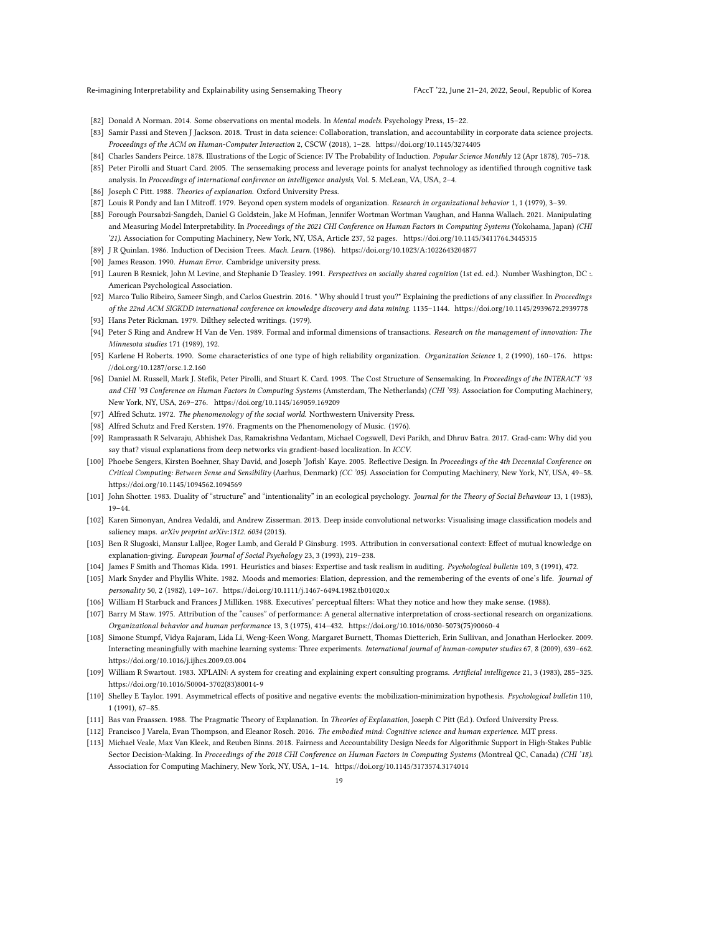- <span id="page-18-10"></span>[82] Donald A Norman. 2014. Some observations on mental models. In Mental models. Psychology Press, 15–22.
- <span id="page-18-11"></span>[83] Samir Passi and Steven J Jackson. 2018. Trust in data science: Collaboration, translation, and accountability in corporate data science projects. Proceedings of the ACM on Human-Computer Interaction 2, CSCW (2018), 1–28.<https://doi.org/10.1145/3274405>
- <span id="page-18-6"></span>[84] Charles Sanders Peirce. 1878. Illustrations of the Logic of Science: IV The Probability of Induction. Popular Science Monthly 12 (Apr 1878), 705-718.
- <span id="page-18-2"></span>[85] Peter Pirolli and Stuart Card. 2005. The sensemaking process and leverage points for analyst technology as identified through cognitive task analysis. In Proceedings of international conference on intelligence analysis, Vol. 5. McLean, VA, USA, 2–4.
- <span id="page-18-7"></span>[86] Joseph C Pitt. 1988. Theories of explanation. Oxford University Press.
- <span id="page-18-21"></span>[87] Louis R Pondy and Ian I Mitroff. 1979. Beyond open system models of organization. Research in organizational behavior 1, 1 (1979), 3–39.
- <span id="page-18-14"></span>[88] Forough Poursabzi-Sangdeh, Daniel G Goldstein, Jake M Hofman, Jennifer Wortman Wortman Vaughan, and Hanna Wallach. 2021. Manipulating and Measuring Model Interpretability. In Proceedings of the 2021 CHI Conference on Human Factors in Computing Systems (Yokohama, Japan) (CHI '21). Association for Computing Machinery, New York, NY, USA, Article 237, 52 pages.<https://doi.org/10.1145/3411764.3445315>
- <span id="page-18-0"></span>[89] J R Quinlan. 1986. Induction of Decision Trees. Mach. Learn. (1986).<https://doi.org/10.1023/A:1022643204877>
- <span id="page-18-16"></span>[90] James Reason. 1990. Human Error. Cambridge university press.
- <span id="page-18-17"></span>[91] Lauren B Resnick, John M Levine, and Stephanie D Teasley. 1991. Perspectives on socially shared cognition (1st ed. ed.). Number Washington, DC :. American Psychological Association.
- <span id="page-18-1"></span>[92] Marco Tulio Ribeiro, Sameer Singh, and Carlos Guestrin. 2016. " Why should I trust you?" Explaining the predictions of any classifier. In Proceedings of the 22nd ACM SIGKDD international conference on knowledge discovery and data mining. 1135–1144.<https://doi.org/10.1145/2939672.2939778> [93] Hans Peter Rickman. 1979. Dilthey selected writings. (1979).
- <span id="page-18-24"></span><span id="page-18-23"></span>[94] Peter S Ring and Andrew H Van de Ven. 1989. Formal and informal dimensions of transactions. Research on the management of innovation: The Minnesota studies 171 (1989), 192.
- <span id="page-18-30"></span>[95] Karlene H Roberts. 1990. Some characteristics of one type of high reliability organization. Organization Science 1, 2 (1990), 160–176. [https:](https://doi.org/10.1287/orsc.1.2.160) [//doi.org/10.1287/orsc.1.2.160](https://doi.org/10.1287/orsc.1.2.160)
- <span id="page-18-3"></span>[96] Daniel M. Russell, Mark J. Stefik, Peter Pirolli, and Stuart K. Card. 1993. The Cost Structure of Sensemaking. In Proceedings of the INTERACT '93 and CHI '93 Conference on Human Factors in Computing Systems (Amsterdam, The Netherlands) (CHI '93). Association for Computing Machinery, New York, NY, USA, 269–276.<https://doi.org/10.1145/169059.169209>
- <span id="page-18-18"></span>[97] Alfred Schutz. 1972. The phenomenology of the social world. Northwestern University Press.
- <span id="page-18-19"></span>[98] Alfred Schutz and Fred Kersten. 1976. Fragments on the Phenomenology of Music. (1976).
- <span id="page-18-4"></span>[99] Ramprasaath R Selvaraju, Abhishek Das, Ramakrishna Vedantam, Michael Cogswell, Devi Parikh, and Dhruv Batra. 2017. Grad-cam: Why did you say that? visual explanations from deep networks via gradient-based localization. In ICCV.
- <span id="page-18-31"></span>[100] Phoebe Sengers, Kirsten Boehner, Shay David, and Joseph 'Jofish' Kaye. 2005. Reflective Design. In Proceedings of the 4th Decennial Conference on Critical Computing: Between Sense and Sensibility (Aarhus, Denmark) (CC '05). Association for Computing Machinery, New York, NY, USA, 49–58. <https://doi.org/10.1145/1094562.1094569>
- <span id="page-18-26"></span>[101] John Shotter. 1983. Duality of "structure" and "intentionality" in an ecological psychology. Journal for the Theory of Social Behaviour 13, 1 (1983), 19–44.
- <span id="page-18-5"></span>[102] Karen Simonyan, Andrea Vedaldi, and Andrew Zisserman. 2013. Deep inside convolutional networks: Visualising image classification models and saliency maps. arXiv preprint arXiv:1312. 6034 (2013).
- <span id="page-18-9"></span>[103] Ben R Slugoski, Mansur Lalljee, Roger Lamb, and Gerald P Ginsburg. 1993. Attribution in conversational context: Effect of mutual knowledge on explanation-giving. European Journal of Social Psychology 23, 3 (1993), 219–238.
- <span id="page-18-29"></span>[104] James F Smith and Thomas Kida. 1991. Heuristics and biases: Expertise and task realism in auditing. Psychological bulletin 109, 3 (1991), 472.
- <span id="page-18-25"></span>[105] Mark Snyder and Phyllis White. 1982. Moods and memories: Elation, depression, and the remembering of the events of one's life. Journal of personality 50, 2 (1982), 149–167.<https://doi.org/10.1111/j.1467-6494.1982.tb01020.x>
- <span id="page-18-27"></span>[106] William H Starbuck and Frances J Milliken. 1988. Executives' perceptual filters: What they notice and how they make sense. (1988).
- <span id="page-18-20"></span>[107] Barry M Staw. 1975. Attribution of the "causes" of performance: A general alternative interpretation of cross-sectional research on organizations. Organizational behavior and human performance 13, 3 (1975), 414–432. [https://doi.org/10.1016/0030-5073\(75\)90060-4](https://doi.org/10.1016/0030-5073(75)90060-4)
- <span id="page-18-13"></span>[108] Simone Stumpf, Vidya Rajaram, Lida Li, Weng-Keen Wong, Margaret Burnett, Thomas Dietterich, Erin Sullivan, and Jonathan Herlocker. 2009. Interacting meaningfully with machine learning systems: Three experiments. International journal of human-computer studies 67, 8 (2009), 639–662. <https://doi.org/10.1016/j.ijhcs.2009.03.004>
- <span id="page-18-12"></span>[109] William R Swartout. 1983. XPLAIN: A system for creating and explaining expert consulting programs. Artificial intelligence 21, 3 (1983), 285–325. [https://doi.org/10.1016/S0004-3702\(83\)80014-9](https://doi.org/10.1016/S0004-3702(83)80014-9)
- <span id="page-18-28"></span>[110] Shelley E Taylor. 1991. Asymmetrical effects of positive and negative events: the mobilization-minimization hypothesis. Psychological bulletin 110, 1 (1991), 67–85.
- <span id="page-18-8"></span>[111] Bas van Fraassen. 1988. The Pragmatic Theory of Explanation. In Theories of Explanation, Joseph C Pitt (Ed.). Oxford University Press.
- <span id="page-18-22"></span>[112] Francisco J Varela, Evan Thompson, and Eleanor Rosch. 2016. The embodied mind: Cognitive science and human experience. MIT press.
- <span id="page-18-15"></span>[113] Michael Veale, Max Van Kleek, and Reuben Binns. 2018. Fairness and Accountability Design Needs for Algorithmic Support in High-Stakes Public Sector Decision-Making. In Proceedings of the 2018 CHI Conference on Human Factors in Computing Systems (Montreal QC, Canada) (CHI '18). Association for Computing Machinery, New York, NY, USA, 1–14.<https://doi.org/10.1145/3173574.3174014>